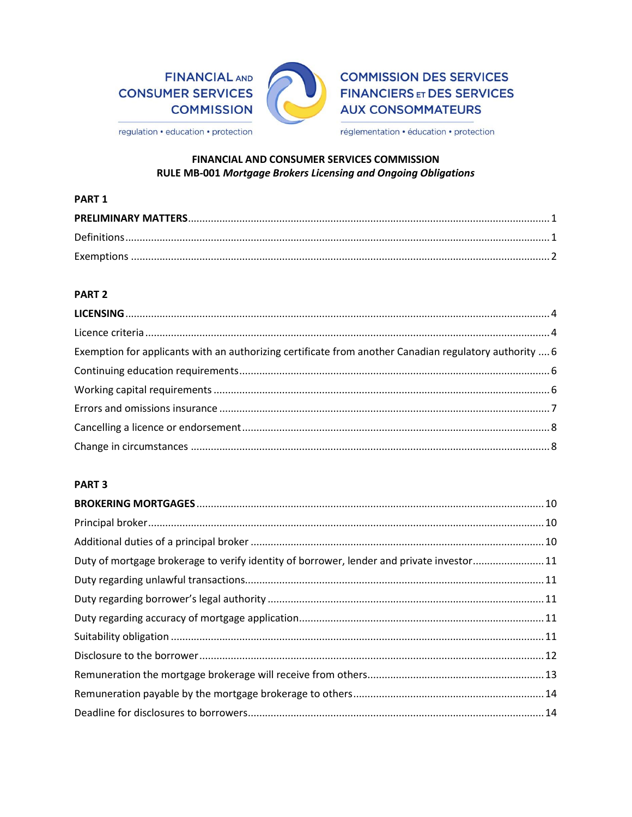# **FINANCIAL AND CONSUMER SERVICES COMMISSION**



# **COMMISSION DES SERVICES FINANCIERS ET DES SERVICES AUX CONSOMMATEURS**

regulation • education • protection

réglementation · éducation · protection

## FINANCIAL AND CONSUMER SERVICES COMMISSION RULE MB-001 Mortgage Brokers Licensing and Ongoing Obligations

#### PART<sub>1</sub>

## PART<sub>2</sub>

| Exemption for applicants with an authorizing certificate from another Canadian regulatory authority  6 |  |
|--------------------------------------------------------------------------------------------------------|--|
|                                                                                                        |  |
|                                                                                                        |  |
|                                                                                                        |  |
|                                                                                                        |  |
|                                                                                                        |  |

## PART<sub>3</sub>

| Duty of mortgage brokerage to verify identity of borrower, lender and private investor11 |  |
|------------------------------------------------------------------------------------------|--|
|                                                                                          |  |
|                                                                                          |  |
|                                                                                          |  |
|                                                                                          |  |
|                                                                                          |  |
|                                                                                          |  |
|                                                                                          |  |
|                                                                                          |  |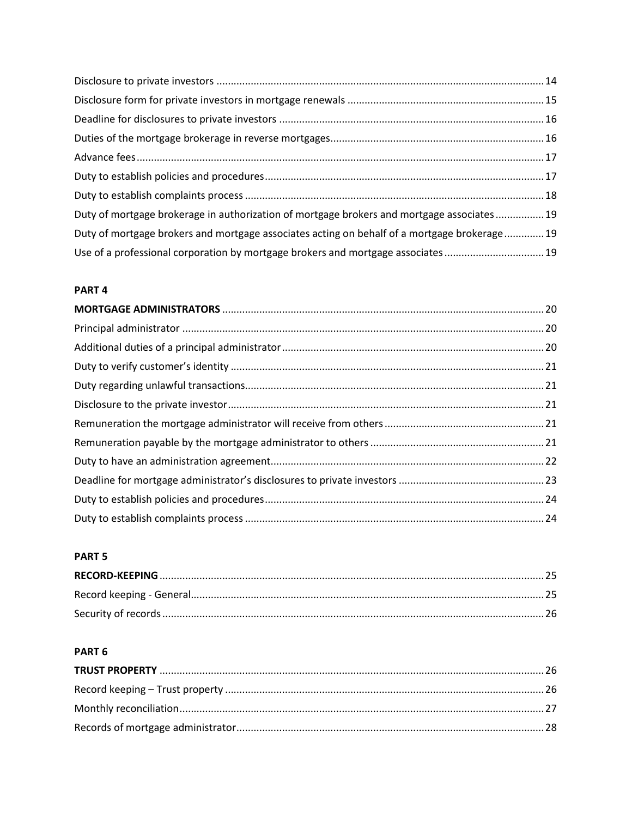| Duty of mortgage brokerage in authorization of mortgage brokers and mortgage associates 19   |  |
|----------------------------------------------------------------------------------------------|--|
| Duty of mortgage brokers and mortgage associates acting on behalf of a mortgage brokerage 19 |  |
| Use of a professional corporation by mortgage brokers and mortgage associates19              |  |

## PART<sub>4</sub>

## PART<sub>5</sub>

## PART<sub>6</sub>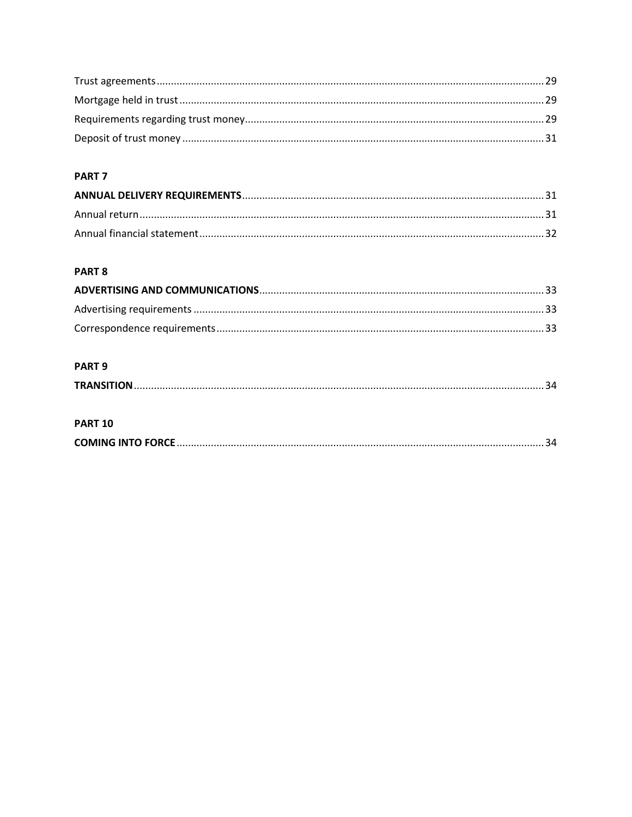## PART<sub>7</sub>

## PART 8

## PART<sub>9</sub>

|--|

#### **PART 10**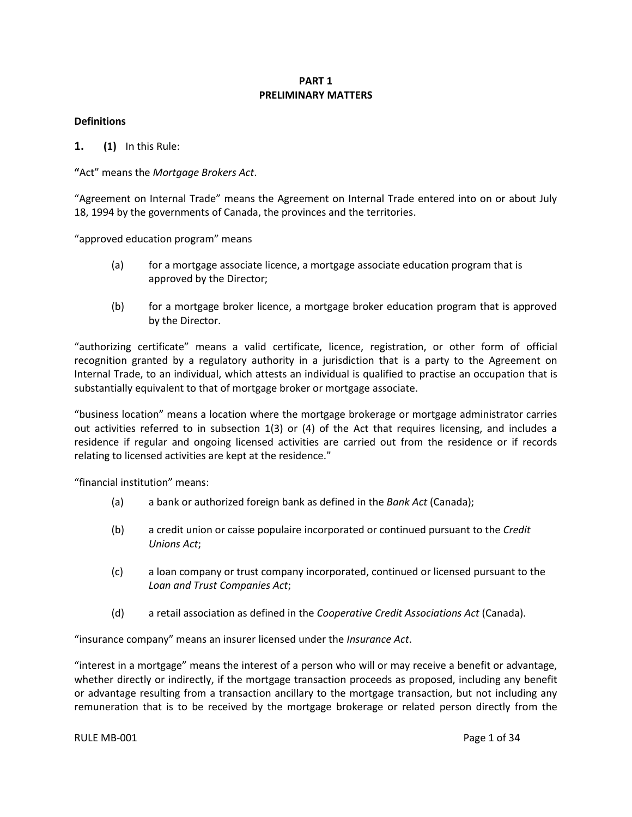#### **PART 1 PRELIMINARY MATTERS**

#### <span id="page-3-1"></span><span id="page-3-0"></span>**Definitions**

**1. (1)** In this Rule:

**"**Act" means the *Mortgage Brokers Act*.

"Agreement on Internal Trade" means the Agreement on Internal Trade entered into on or about July 18, 1994 by the governments of Canada, the provinces and the territories.

"approved education program" means

- (a) for a mortgage associate licence, a mortgage associate education program that is approved by the Director;
- (b) for a mortgage broker licence, a mortgage broker education program that is approved by the Director.

"authorizing certificate" means a valid certificate, licence, registration, or other form of official recognition granted by a regulatory authority in a jurisdiction that is a party to the Agreement on Internal Trade, to an individual, which attests an individual is qualified to practise an occupation that is substantially equivalent to that of mortgage broker or mortgage associate.

"business location" means a location where the mortgage brokerage or mortgage administrator carries out activities referred to in subsection 1(3) or (4) of the Act that requires licensing, and includes a residence if regular and ongoing licensed activities are carried out from the residence or if records relating to licensed activities are kept at the residence."

"financial institution" means:

- (a) a bank or authorized foreign bank as defined in the *Bank Act* (Canada);
- (b) a credit union or caisse populaire incorporated or continued pursuant to the *Credit Unions Act*;
- (c) a loan company or trust company incorporated, continued or licensed pursuant to the *Loan and Trust Companies Act*;
- (d) a retail association as defined in the *Cooperative Credit Associations Act* (Canada).

"insurance company" means an insurer licensed under the *Insurance Act*.

"interest in a mortgage" means the interest of a person who will or may receive a benefit or advantage, whether directly or indirectly, if the mortgage transaction proceeds as proposed, including any benefit or advantage resulting from a transaction ancillary to the mortgage transaction, but not including any remuneration that is to be received by the mortgage brokerage or related person directly from the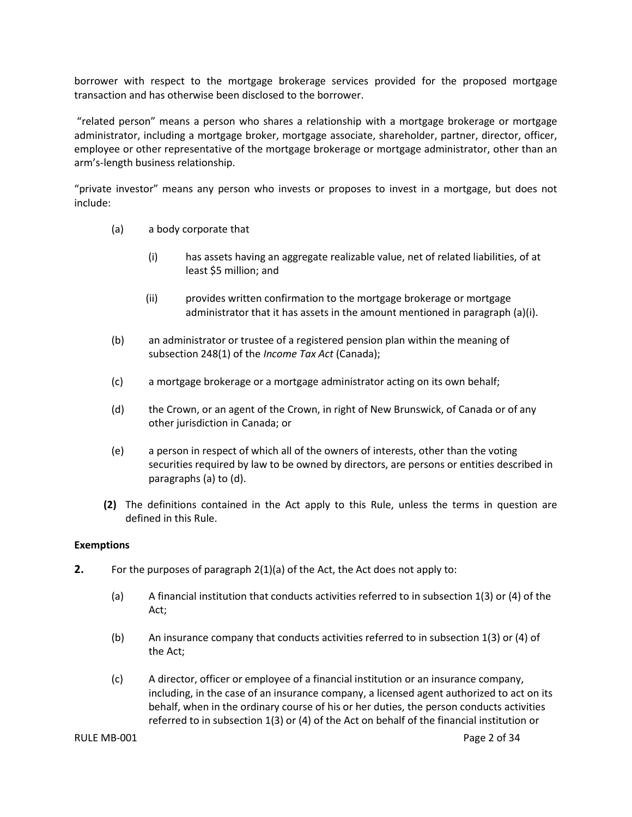borrower with respect to the mortgage brokerage services provided for the proposed mortgage transaction and has otherwise been disclosed to the borrower.

"related person" means a person who shares a relationship with a mortgage brokerage or mortgage administrator, including a mortgage broker, mortgage associate, shareholder, partner, director, officer, employee or other representative of the mortgage brokerage or mortgage administrator, other than an arm's-length business relationship.

"private investor" means any person who invests or proposes to invest in a mortgage, but does not include:

- (a) a body corporate that
	- (i) has assets having an aggregate realizable value, net of related liabilities, of at least \$5 million; and
	- (ii) provides written confirmation to the mortgage brokerage or mortgage administrator that it has assets in the amount mentioned in paragraph (a)(i).
- (b) an administrator or trustee of a registered pension plan within the meaning of subsection 248(1) of the *Income Tax Act* (Canada);
- (c) a mortgage brokerage or a mortgage administrator acting on its own behalf;
- (d) the Crown, or an agent of the Crown, in right of New Brunswick, of Canada or of any other jurisdiction in Canada; or
- (e) a person in respect of which all of the owners of interests, other than the voting securities required by law to be owned by directors, are persons or entities described in paragraphs (a) to (d).
- **(2)** The definitions contained in the Act apply to this Rule, unless the terms in question are defined in this Rule.

#### <span id="page-4-0"></span>**Exemptions**

- **2.** For the purposes of paragraph 2(1)(a) of the Act, the Act does not apply to:
	- (a) A financial institution that conducts activities referred to in subsection 1(3) or (4) of the Act;
	- (b) An insurance company that conducts activities referred to in subsection 1(3) or (4) of the Act;
	- (c) A director, officer or employee of a financial institution or an insurance company, including, in the case of an insurance company, a licensed agent authorized to act on its behalf, when in the ordinary course of his or her duties, the person conducts activities referred to in subsection 1(3) or (4) of the Act on behalf of the financial institution or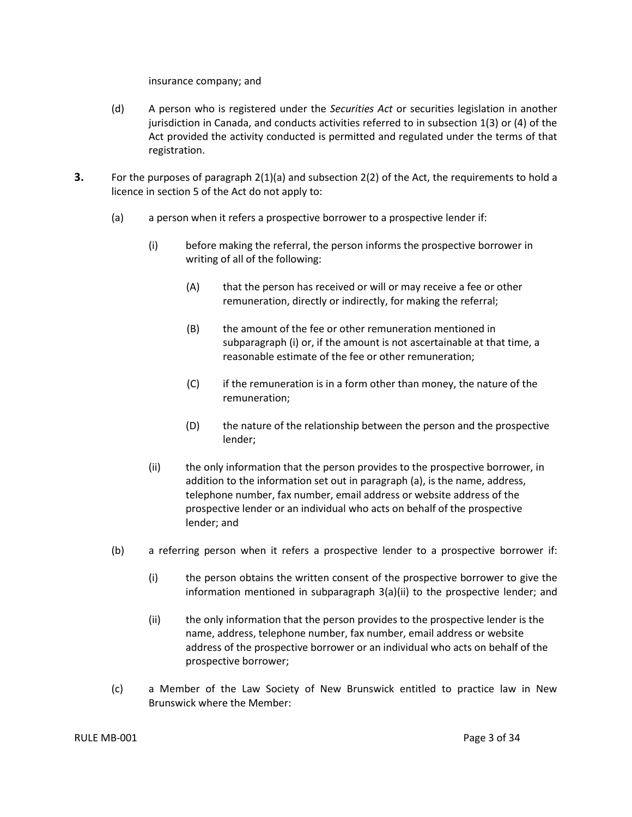insurance company; and

- (d) A person who is registered under the *Securities Act* or securities legislation in another jurisdiction in Canada, and conducts activities referred to in subsection 1(3) or (4) of the Act provided the activity conducted is permitted and regulated under the terms of that registration.
- **3.** For the purposes of paragraph 2(1)(a) and subsection 2(2) of the Act, the requirements to hold a licence in section 5 of the Act do not apply to:
	- (a) a person when it refers a prospective borrower to a prospective lender if:
		- (i) before making the referral, the person informs the prospective borrower in writing of all of the following:
			- (A) that the person has received or will or may receive a fee or other remuneration, directly or indirectly, for making the referral;
			- (B) the amount of the fee or other remuneration mentioned in subparagraph (i) or, if the amount is not ascertainable at that time, a reasonable estimate of the fee or other remuneration;
			- (C) if the remuneration is in a form other than money, the nature of the remuneration;
			- (D) the nature of the relationship between the person and the prospective lender;
		- (ii) the only information that the person provides to the prospective borrower, in addition to the information set out in paragraph (a), is the name, address, telephone number, fax number, email address or website address of the prospective lender or an individual who acts on behalf of the prospective lender; and
	- (b) a referring person when it refers a prospective lender to a prospective borrower if:
		- (i) the person obtains the written consent of the prospective borrower to give the information mentioned in subparagraph 3(a)(ii) to the prospective lender; and
		- (ii) the only information that the person provides to the prospective lender is the name, address, telephone number, fax number, email address or website address of the prospective borrower or an individual who acts on behalf of the prospective borrower;
	- (c) a Member of the Law Society of New Brunswick entitled to practice law in New Brunswick where the Member: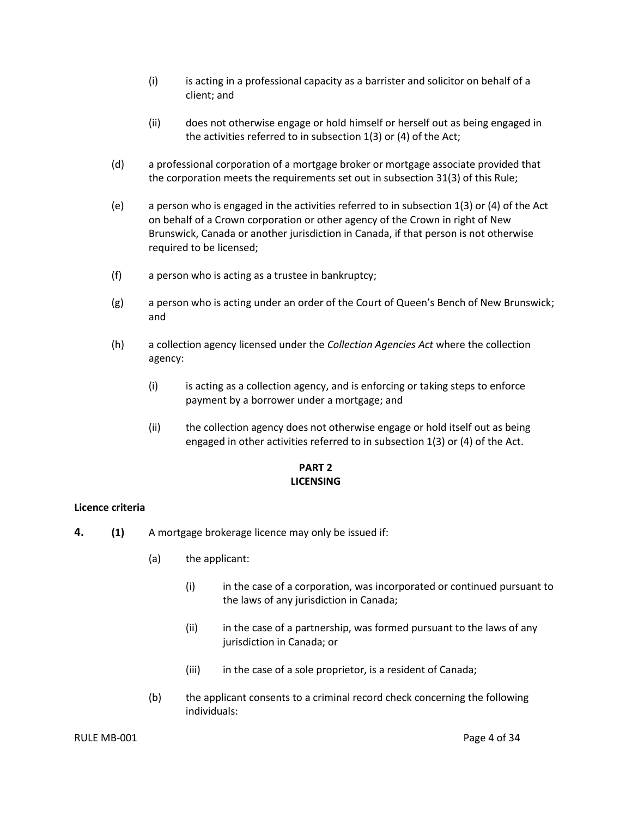- (i) is acting in a professional capacity as a barrister and solicitor on behalf of a client; and
- (ii) does not otherwise engage or hold himself or herself out as being engaged in the activities referred to in subsection 1(3) or (4) of the Act;
- (d) a professional corporation of a mortgage broker or mortgage associate provided that the corporation meets the requirements set out in subsection 31(3) of this Rule;
- (e) a person who is engaged in the activities referred to in subsection 1(3) or (4) of the Act on behalf of a Crown corporation or other agency of the Crown in right of New Brunswick, Canada or another jurisdiction in Canada, if that person is not otherwise required to be licensed;
- (f) a person who is acting as a trustee in bankruptcy;
- (g) a person who is acting under an order of the Court of Queen's Bench of New Brunswick; and
- (h) a collection agency licensed under the *Collection Agencies Act* where the collection agency:
	- (i) is acting as a collection agency, and is enforcing or taking steps to enforce payment by a borrower under a mortgage; and
	- (ii) the collection agency does not otherwise engage or hold itself out as being engaged in other activities referred to in subsection 1(3) or (4) of the Act.

## **PART 2 LICENSING**

#### <span id="page-6-1"></span><span id="page-6-0"></span>**Licence criteria**

- **4. (1)** A mortgage brokerage licence may only be issued if:
	- (a) the applicant:
		- (i) in the case of a corporation, was incorporated or continued pursuant to the laws of any jurisdiction in Canada;
		- (ii) in the case of a partnership, was formed pursuant to the laws of any jurisdiction in Canada; or
		- (iii) in the case of a sole proprietor, is a resident of Canada;
	- (b) the applicant consents to a criminal record check concerning the following individuals: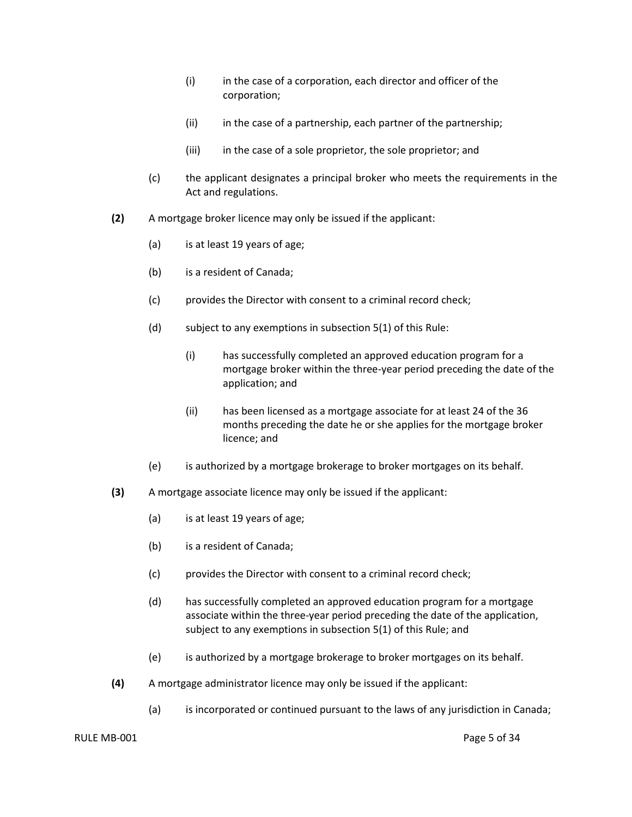- (i) in the case of a corporation, each director and officer of the corporation;
- (ii) in the case of a partnership, each partner of the partnership;
- (iii) in the case of a sole proprietor, the sole proprietor; and
- (c) the applicant designates a principal broker who meets the requirements in the Act and regulations.
- **(2)** A mortgage broker licence may only be issued if the applicant:
	- (a) is at least 19 years of age;
	- (b) is a resident of Canada;
	- (c) provides the Director with consent to a criminal record check;
	- (d) subject to any exemptions in subsection  $5(1)$  of this Rule:
		- (i) has successfully completed an approved education program for a mortgage broker within the three-year period preceding the date of the application; and
		- (ii) has been licensed as a mortgage associate for at least 24 of the 36 months preceding the date he or she applies for the mortgage broker licence; and
	- (e) is authorized by a mortgage brokerage to broker mortgages on its behalf.
- **(3)** A mortgage associate licence may only be issued if the applicant:
	- (a) is at least 19 years of age;
	- (b) is a resident of Canada;
	- (c) provides the Director with consent to a criminal record check;
	- (d) has successfully completed an approved education program for a mortgage associate within the three-year period preceding the date of the application, subject to any exemptions in subsection 5(1) of this Rule; and
	- (e) is authorized by a mortgage brokerage to broker mortgages on its behalf.
- **(4)** A mortgage administrator licence may only be issued if the applicant:
	- (a) is incorporated or continued pursuant to the laws of any jurisdiction in Canada;

#### RULE MB-001 Page 5 of 34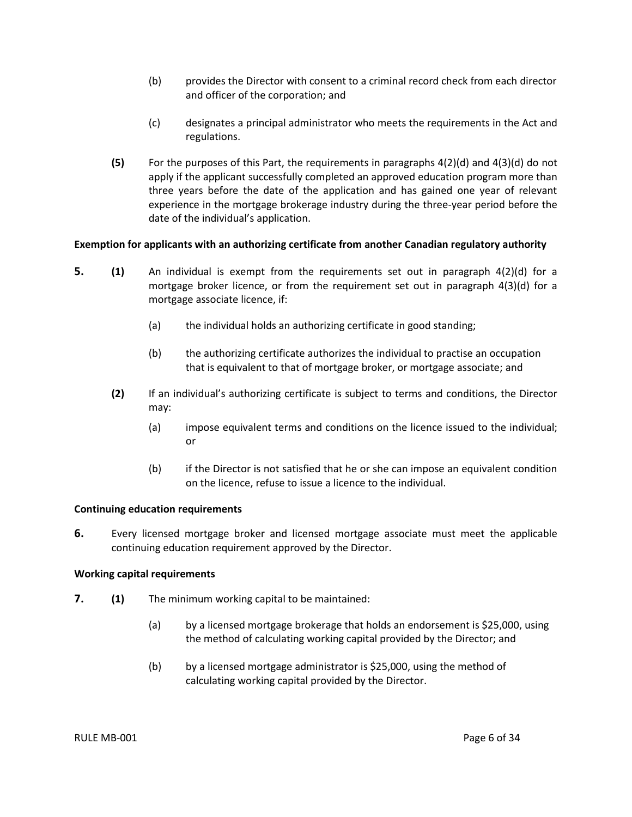- (b) provides the Director with consent to a criminal record check from each director and officer of the corporation; and
- (c) designates a principal administrator who meets the requirements in the Act and regulations.
- **(5)** For the purposes of this Part, the requirements in paragraphs 4(2)(d) and 4(3)(d) do not apply if the applicant successfully completed an approved education program more than three years before the date of the application and has gained one year of relevant experience in the mortgage brokerage industry during the three-year period before the date of the individual's application.

#### <span id="page-8-0"></span>**Exemption for applicants with an authorizing certificate from another Canadian regulatory authority**

- **5. (1)** An individual is exempt from the requirements set out in paragraph 4(2)(d) for a mortgage broker licence, or from the requirement set out in paragraph 4(3)(d) for a mortgage associate licence, if:
	- (a) the individual holds an authorizing certificate in good standing;
	- (b) the authorizing certificate authorizes the individual to practise an occupation that is equivalent to that of mortgage broker, or mortgage associate; and
	- **(2)** If an individual's authorizing certificate is subject to terms and conditions, the Director may:
		- (a) impose equivalent terms and conditions on the licence issued to the individual; or
		- (b) if the Director is not satisfied that he or she can impose an equivalent condition on the licence, refuse to issue a licence to the individual.

#### <span id="page-8-1"></span>**Continuing education requirements**

**6.** Every licensed mortgage broker and licensed mortgage associate must meet the applicable continuing education requirement approved by the Director.

#### <span id="page-8-2"></span>**Working capital requirements**

- **7. (1)** The minimum working capital to be maintained:
	- (a) by a licensed mortgage brokerage that holds an endorsement is \$25,000, using the method of calculating working capital provided by the Director; and
	- (b) by a licensed mortgage administrator is \$25,000, using the method of calculating working capital provided by the Director.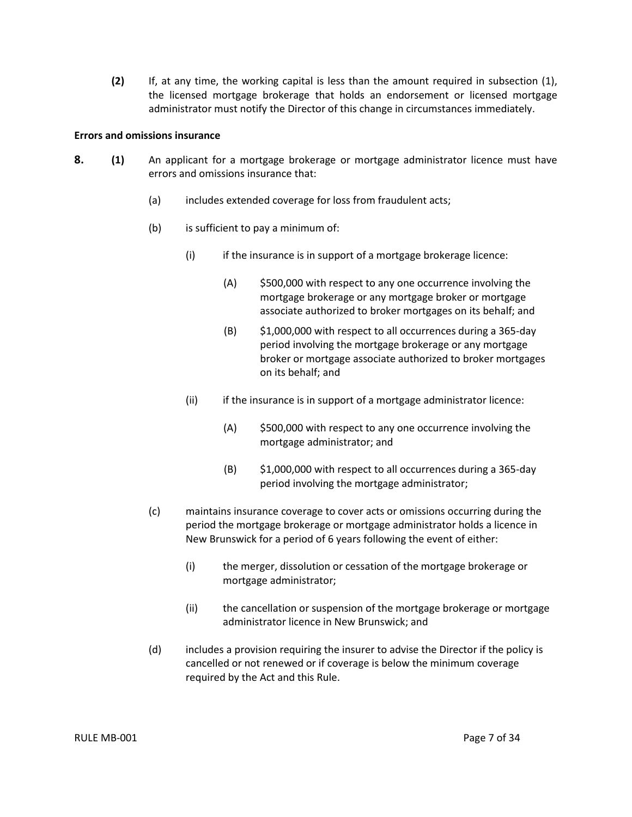**(2)** If, at any time, the working capital is less than the amount required in subsection (1), the licensed mortgage brokerage that holds an endorsement or licensed mortgage administrator must notify the Director of this change in circumstances immediately.

#### <span id="page-9-0"></span>**Errors and omissions insurance**

- **8. (1)** An applicant for a mortgage brokerage or mortgage administrator licence must have errors and omissions insurance that:
	- (a) includes extended coverage for loss from fraudulent acts;
	- (b) is sufficient to pay a minimum of:
		- (i) if the insurance is in support of a mortgage brokerage licence:
			- (A) \$500,000 with respect to any one occurrence involving the mortgage brokerage or any mortgage broker or mortgage associate authorized to broker mortgages on its behalf; and
			- (B) \$1,000,000 with respect to all occurrences during a 365-day period involving the mortgage brokerage or any mortgage broker or mortgage associate authorized to broker mortgages on its behalf; and
		- (ii) if the insurance is in support of a mortgage administrator licence:
			- (A) \$500,000 with respect to any one occurrence involving the mortgage administrator; and
			- (B) \$1,000,000 with respect to all occurrences during a 365-day period involving the mortgage administrator;
	- (c) maintains insurance coverage to cover acts or omissions occurring during the period the mortgage brokerage or mortgage administrator holds a licence in New Brunswick for a period of 6 years following the event of either:
		- (i) the merger, dissolution or cessation of the mortgage brokerage or mortgage administrator;
		- (ii) the cancellation or suspension of the mortgage brokerage or mortgage administrator licence in New Brunswick; and
	- (d) includes a provision requiring the insurer to advise the Director if the policy is cancelled or not renewed or if coverage is below the minimum coverage required by the Act and this Rule.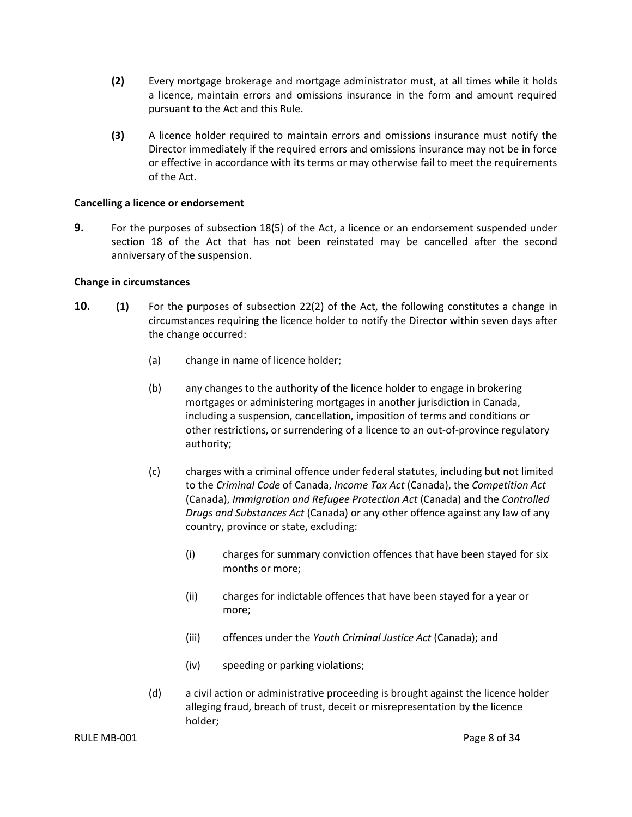- **(2)** Every mortgage brokerage and mortgage administrator must, at all times while it holds a licence, maintain errors and omissions insurance in the form and amount required pursuant to the Act and this Rule.
- **(3)** A licence holder required to maintain errors and omissions insurance must notify the Director immediately if the required errors and omissions insurance may not be in force or effective in accordance with its terms or may otherwise fail to meet the requirements of the Act.

#### <span id="page-10-0"></span>**Cancelling a licence or endorsement**

**9.** For the purposes of subsection 18(5) of the Act, a licence or an endorsement suspended under section 18 of the Act that has not been reinstated may be cancelled after the second anniversary of the suspension.

#### <span id="page-10-1"></span>**Change in circumstances**

- **10. (1)** For the purposes of subsection 22(2) of the Act, the following constitutes a change in circumstances requiring the licence holder to notify the Director within seven days after the change occurred:
	- (a) change in name of licence holder;
	- (b) any changes to the authority of the licence holder to engage in brokering mortgages or administering mortgages in another jurisdiction in Canada, including a suspension, cancellation, imposition of terms and conditions or other restrictions, or surrendering of a licence to an out-of-province regulatory authority;
	- (c) charges with a criminal offence under federal statutes, including but not limited to the *Criminal Code* of Canada, *Income Tax Act* (Canada), the *Competition Act*  (Canada), *Immigration and Refugee Protection Act* (Canada) and the *Controlled Drugs and Substances Act* (Canada) or any other offence against any law of any country, province or state, excluding:
		- (i) charges for summary conviction offences that have been stayed for six months or more;
		- (ii) charges for indictable offences that have been stayed for a year or more;
		- (iii) offences under the *Youth Criminal Justice Act* (Canada); and
		- (iv) speeding or parking violations;
	- (d) a civil action or administrative proceeding is brought against the licence holder alleging fraud, breach of trust, deceit or misrepresentation by the licence holder;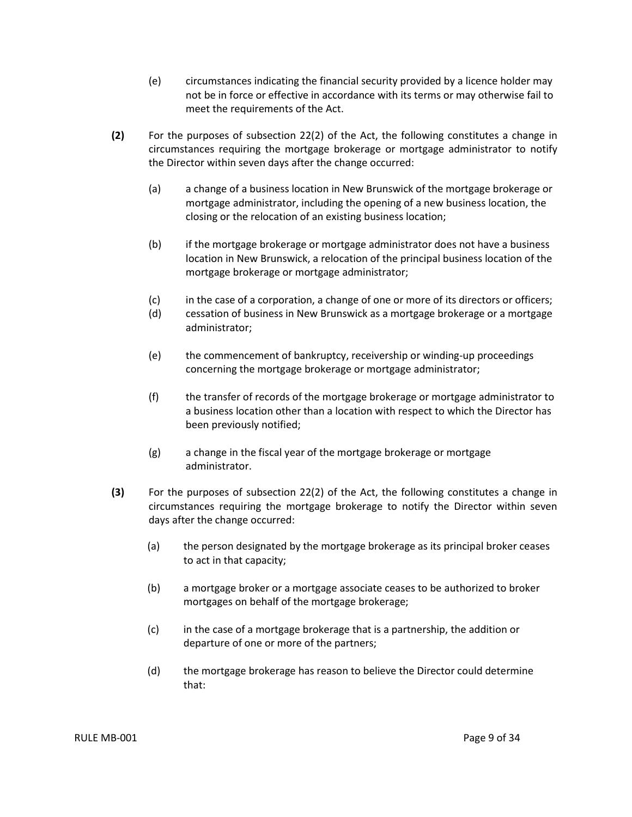- (e) circumstances indicating the financial security provided by a licence holder may not be in force or effective in accordance with its terms or may otherwise fail to meet the requirements of the Act.
- **(2)** For the purposes of subsection 22(2) of the Act, the following constitutes a change in circumstances requiring the mortgage brokerage or mortgage administrator to notify the Director within seven days after the change occurred:
	- (a) a change of a business location in New Brunswick of the mortgage brokerage or mortgage administrator, including the opening of a new business location, the closing or the relocation of an existing business location;
	- (b) if the mortgage brokerage or mortgage administrator does not have a business location in New Brunswick, a relocation of the principal business location of the mortgage brokerage or mortgage administrator;
	- (c) in the case of a corporation, a change of one or more of its directors or officers;
	- (d) cessation of business in New Brunswick as a mortgage brokerage or a mortgage administrator;
	- (e) the commencement of bankruptcy, receivership or winding-up proceedings concerning the mortgage brokerage or mortgage administrator;
	- (f) the transfer of records of the mortgage brokerage or mortgage administrator to a business location other than a location with respect to which the Director has been previously notified;
	- (g) a change in the fiscal year of the mortgage brokerage or mortgage administrator.
- **(3)** For the purposes of subsection 22(2) of the Act, the following constitutes a change in circumstances requiring the mortgage brokerage to notify the Director within seven days after the change occurred:
	- (a) the person designated by the mortgage brokerage as its principal broker ceases to act in that capacity;
	- (b) a mortgage broker or a mortgage associate ceases to be authorized to broker mortgages on behalf of the mortgage brokerage;
	- (c) in the case of a mortgage brokerage that is a partnership, the addition or departure of one or more of the partners;
	- (d) the mortgage brokerage has reason to believe the Director could determine that: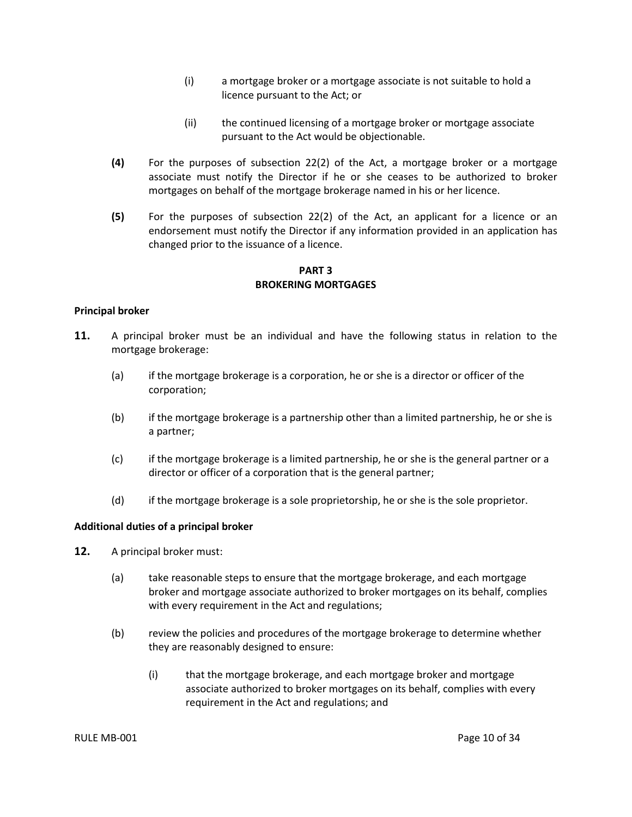- (i) a mortgage broker or a mortgage associate is not suitable to hold a licence pursuant to the Act; or
- (ii) the continued licensing of a mortgage broker or mortgage associate pursuant to the Act would be objectionable.
- **(4)** For the purposes of subsection 22(2) of the Act, a mortgage broker or a mortgage associate must notify the Director if he or she ceases to be authorized to broker mortgages on behalf of the mortgage brokerage named in his or her licence.
- **(5)** For the purposes of subsection 22(2) of the Act, an applicant for a licence or an endorsement must notify the Director if any information provided in an application has changed prior to the issuance of a licence.

**PART 3 BROKERING MORTGAGES**

#### <span id="page-12-1"></span><span id="page-12-0"></span>**Principal broker**

- **11.** A principal broker must be an individual and have the following status in relation to the mortgage brokerage:
	- (a) if the mortgage brokerage is a corporation, he or she is a director or officer of the corporation;
	- (b) if the mortgage brokerage is a partnership other than a limited partnership, he or she is a partner;
	- (c) if the mortgage brokerage is a limited partnership, he or she is the general partner or a director or officer of a corporation that is the general partner;
	- (d) if the mortgage brokerage is a sole proprietorship, he or she is the sole proprietor.

#### <span id="page-12-2"></span>**Additional duties of a principal broker**

- **12.** A principal broker must:
	- (a) take reasonable steps to ensure that the mortgage brokerage, and each mortgage broker and mortgage associate authorized to broker mortgages on its behalf, complies with every requirement in the Act and regulations;
	- (b) review the policies and procedures of the mortgage brokerage to determine whether they are reasonably designed to ensure:
		- (i) that the mortgage brokerage, and each mortgage broker and mortgage associate authorized to broker mortgages on its behalf, complies with every requirement in the Act and regulations; and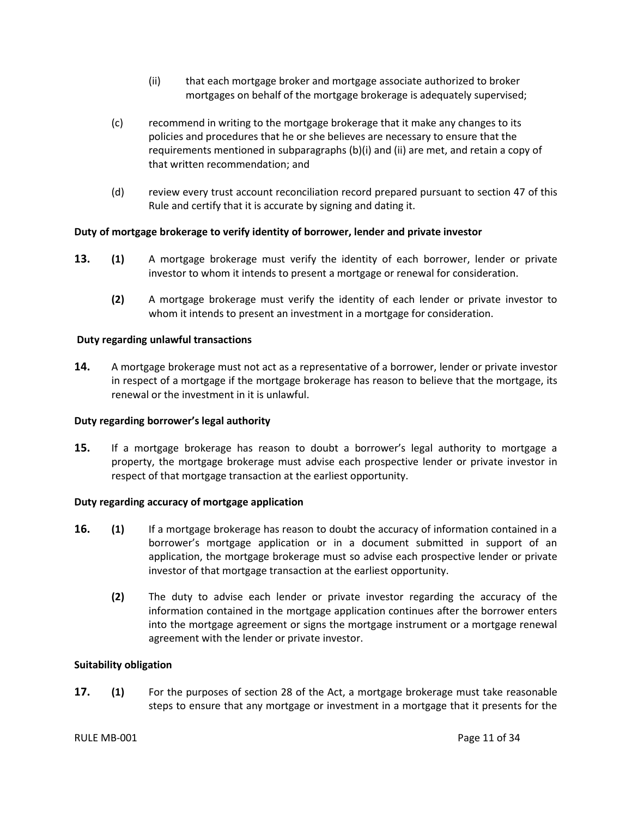- (ii) that each mortgage broker and mortgage associate authorized to broker mortgages on behalf of the mortgage brokerage is adequately supervised;
- (c) recommend in writing to the mortgage brokerage that it make any changes to its policies and procedures that he or she believes are necessary to ensure that the requirements mentioned in subparagraphs (b)(i) and (ii) are met, and retain a copy of that written recommendation; and
- (d) review every trust account reconciliation record prepared pursuant to section 47 of this Rule and certify that it is accurate by signing and dating it.

### <span id="page-13-0"></span>**Duty of mortgage brokerage to verify identity of borrower, lender and private investor**

- **13. (1)** A mortgage brokerage must verify the identity of each borrower, lender or private investor to whom it intends to present a mortgage or renewal for consideration.
	- **(2)** A mortgage brokerage must verify the identity of each lender or private investor to whom it intends to present an investment in a mortgage for consideration.

#### <span id="page-13-1"></span>**Duty regarding unlawful transactions**

**14.** A mortgage brokerage must not act as a representative of a borrower, lender or private investor in respect of a mortgage if the mortgage brokerage has reason to believe that the mortgage, its renewal or the investment in it is unlawful.

#### <span id="page-13-2"></span>**Duty regarding borrower's legal authority**

**15.** If a mortgage brokerage has reason to doubt a borrower's legal authority to mortgage a property, the mortgage brokerage must advise each prospective lender or private investor in respect of that mortgage transaction at the earliest opportunity.

#### <span id="page-13-3"></span>**Duty regarding accuracy of mortgage application**

- **16. (1)** If a mortgage brokerage has reason to doubt the accuracy of information contained in a borrower's mortgage application or in a document submitted in support of an application, the mortgage brokerage must so advise each prospective lender or private investor of that mortgage transaction at the earliest opportunity.
	- **(2)** The duty to advise each lender or private investor regarding the accuracy of the information contained in the mortgage application continues after the borrower enters into the mortgage agreement or signs the mortgage instrument or a mortgage renewal agreement with the lender or private investor.

#### <span id="page-13-4"></span>**Suitability obligation**

**17. (1)** For the purposes of section 28 of the Act, a mortgage brokerage must take reasonable steps to ensure that any mortgage or investment in a mortgage that it presents for the

#### RULE MB-001 Page 11 of 34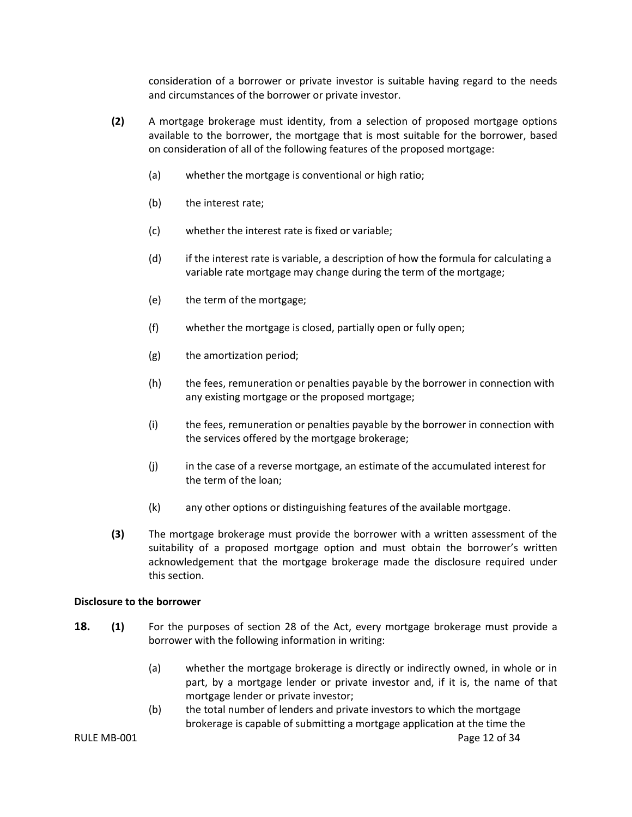consideration of a borrower or private investor is suitable having regard to the needs and circumstances of the borrower or private investor.

- **(2)** A mortgage brokerage must identity, from a selection of proposed mortgage options available to the borrower, the mortgage that is most suitable for the borrower, based on consideration of all of the following features of the proposed mortgage:
	- (a) whether the mortgage is conventional or high ratio;
	- (b) the interest rate;
	- (c) whether the interest rate is fixed or variable;
	- (d) if the interest rate is variable, a description of how the formula for calculating a variable rate mortgage may change during the term of the mortgage;
	- (e) the term of the mortgage;
	- (f) whether the mortgage is closed, partially open or fully open;
	- (g) the amortization period;
	- (h) the fees, remuneration or penalties payable by the borrower in connection with any existing mortgage or the proposed mortgage;
	- (i) the fees, remuneration or penalties payable by the borrower in connection with the services offered by the mortgage brokerage;
	- (j) in the case of a reverse mortgage, an estimate of the accumulated interest for the term of the loan;
	- (k) any other options or distinguishing features of the available mortgage.
- **(3)** The mortgage brokerage must provide the borrower with a written assessment of the suitability of a proposed mortgage option and must obtain the borrower's written acknowledgement that the mortgage brokerage made the disclosure required under this section.

#### <span id="page-14-0"></span>**Disclosure to the borrower**

- **18. (1)** For the purposes of section 28 of the Act, every mortgage brokerage must provide a borrower with the following information in writing:
	- (a) whether the mortgage brokerage is directly or indirectly owned, in whole or in part, by a mortgage lender or private investor and, if it is, the name of that mortgage lender or private investor;
	- (b) the total number of lenders and private investors to which the mortgage brokerage is capable of submitting a mortgage application at the time the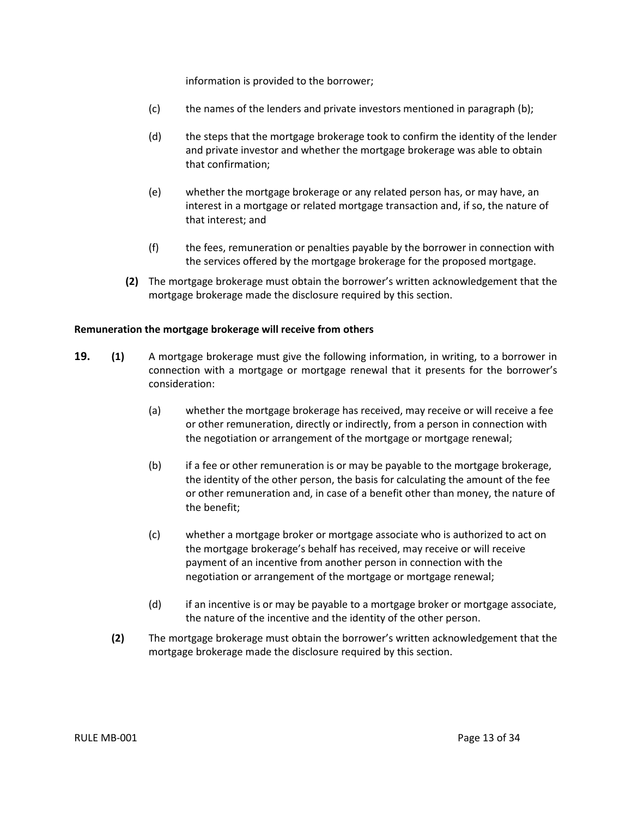information is provided to the borrower;

- (c) the names of the lenders and private investors mentioned in paragraph (b);
- (d) the steps that the mortgage brokerage took to confirm the identity of the lender and private investor and whether the mortgage brokerage was able to obtain that confirmation;
- (e) whether the mortgage brokerage or any related person has, or may have, an interest in a mortgage or related mortgage transaction and, if so, the nature of that interest; and
- (f) the fees, remuneration or penalties payable by the borrower in connection with the services offered by the mortgage brokerage for the proposed mortgage.
- **(2)** The mortgage brokerage must obtain the borrower's written acknowledgement that the mortgage brokerage made the disclosure required by this section.

#### <span id="page-15-0"></span>**Remuneration the mortgage brokerage will receive from others**

- **19. (1)** A mortgage brokerage must give the following information, in writing, to a borrower in connection with a mortgage or mortgage renewal that it presents for the borrower's consideration:
	- (a) whether the mortgage brokerage has received, may receive or will receive a fee or other remuneration, directly or indirectly, from a person in connection with the negotiation or arrangement of the mortgage or mortgage renewal;
	- (b) if a fee or other remuneration is or may be payable to the mortgage brokerage, the identity of the other person, the basis for calculating the amount of the fee or other remuneration and, in case of a benefit other than money, the nature of the benefit;
	- (c) whether a mortgage broker or mortgage associate who is authorized to act on the mortgage brokerage's behalf has received, may receive or will receive payment of an incentive from another person in connection with the negotiation or arrangement of the mortgage or mortgage renewal;
	- (d) if an incentive is or may be payable to a mortgage broker or mortgage associate, the nature of the incentive and the identity of the other person.
	- **(2)** The mortgage brokerage must obtain the borrower's written acknowledgement that the mortgage brokerage made the disclosure required by this section.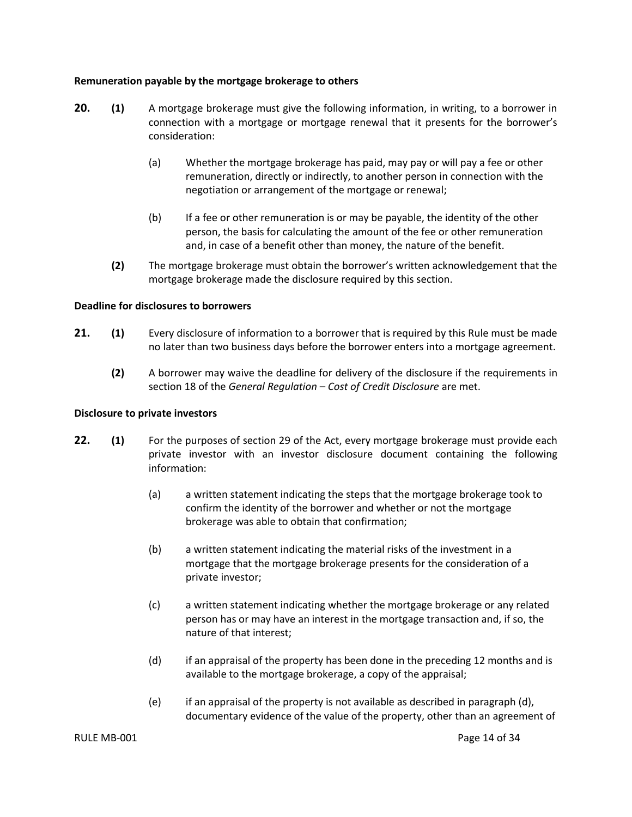#### <span id="page-16-0"></span>**Remuneration payable by the mortgage brokerage to others**

- **20. (1)** A mortgage brokerage must give the following information, in writing, to a borrower in connection with a mortgage or mortgage renewal that it presents for the borrower's consideration:
	- (a) Whether the mortgage brokerage has paid, may pay or will pay a fee or other remuneration, directly or indirectly, to another person in connection with the negotiation or arrangement of the mortgage or renewal;
	- (b) If a fee or other remuneration is or may be payable, the identity of the other person, the basis for calculating the amount of the fee or other remuneration and, in case of a benefit other than money, the nature of the benefit.
	- **(2)** The mortgage brokerage must obtain the borrower's written acknowledgement that the mortgage brokerage made the disclosure required by this section.

#### <span id="page-16-1"></span>**Deadline for disclosures to borrowers**

- **21. (1)** Every disclosure of information to a borrower that is required by this Rule must be made no later than two business days before the borrower enters into a mortgage agreement.
	- **(2)** A borrower may waive the deadline for delivery of the disclosure if the requirements in section 18 of the *General Regulation – Cost of Credit Disclosure* are met.

#### <span id="page-16-2"></span>**Disclosure to private investors**

- **22. (1)** For the purposes of section 29 of the Act, every mortgage brokerage must provide each private investor with an investor disclosure document containing the following information:
	- (a) a written statement indicating the steps that the mortgage brokerage took to confirm the identity of the borrower and whether or not the mortgage brokerage was able to obtain that confirmation;
	- (b) a written statement indicating the material risks of the investment in a mortgage that the mortgage brokerage presents for the consideration of a private investor;
	- (c) a written statement indicating whether the mortgage brokerage or any related person has or may have an interest in the mortgage transaction and, if so, the nature of that interest;
	- (d) if an appraisal of the property has been done in the preceding 12 months and is available to the mortgage brokerage, a copy of the appraisal;
	- (e) if an appraisal of the property is not available as described in paragraph (d), documentary evidence of the value of the property, other than an agreement of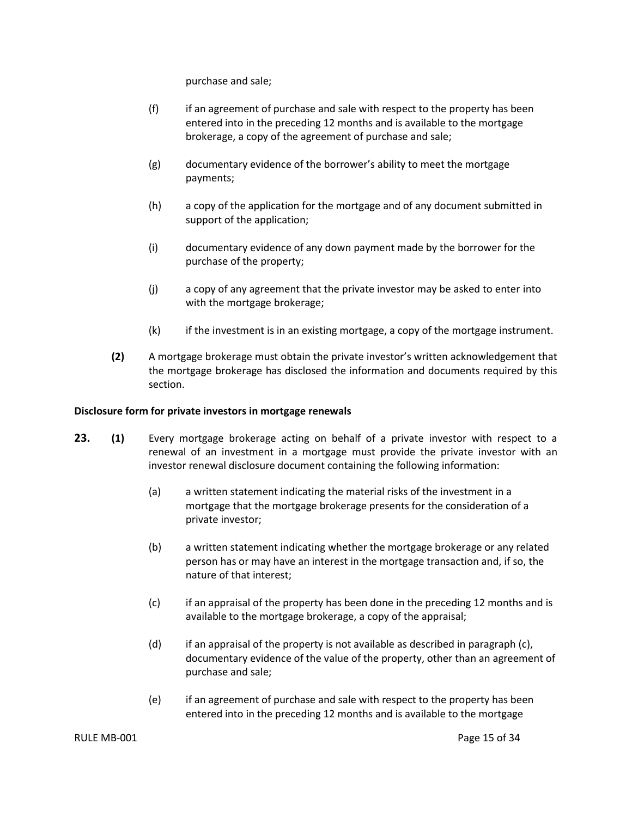purchase and sale;

- (f) if an agreement of purchase and sale with respect to the property has been entered into in the preceding 12 months and is available to the mortgage brokerage, a copy of the agreement of purchase and sale;
- (g) documentary evidence of the borrower's ability to meet the mortgage payments;
- (h) a copy of the application for the mortgage and of any document submitted in support of the application;
- (i) documentary evidence of any down payment made by the borrower for the purchase of the property;
- (j) a copy of any agreement that the private investor may be asked to enter into with the mortgage brokerage;
- (k) if the investment is in an existing mortgage, a copy of the mortgage instrument.
- **(2)** A mortgage brokerage must obtain the private investor's written acknowledgement that the mortgage brokerage has disclosed the information and documents required by this section.

#### <span id="page-17-0"></span>**Disclosure form for private investors in mortgage renewals**

- **23. (1)** Every mortgage brokerage acting on behalf of a private investor with respect to a renewal of an investment in a mortgage must provide the private investor with an investor renewal disclosure document containing the following information:
	- (a) a written statement indicating the material risks of the investment in a mortgage that the mortgage brokerage presents for the consideration of a private investor;
	- (b) a written statement indicating whether the mortgage brokerage or any related person has or may have an interest in the mortgage transaction and, if so, the nature of that interest;
	- (c) if an appraisal of the property has been done in the preceding 12 months and is available to the mortgage brokerage, a copy of the appraisal;
	- (d) if an appraisal of the property is not available as described in paragraph (c), documentary evidence of the value of the property, other than an agreement of purchase and sale;
	- (e) if an agreement of purchase and sale with respect to the property has been entered into in the preceding 12 months and is available to the mortgage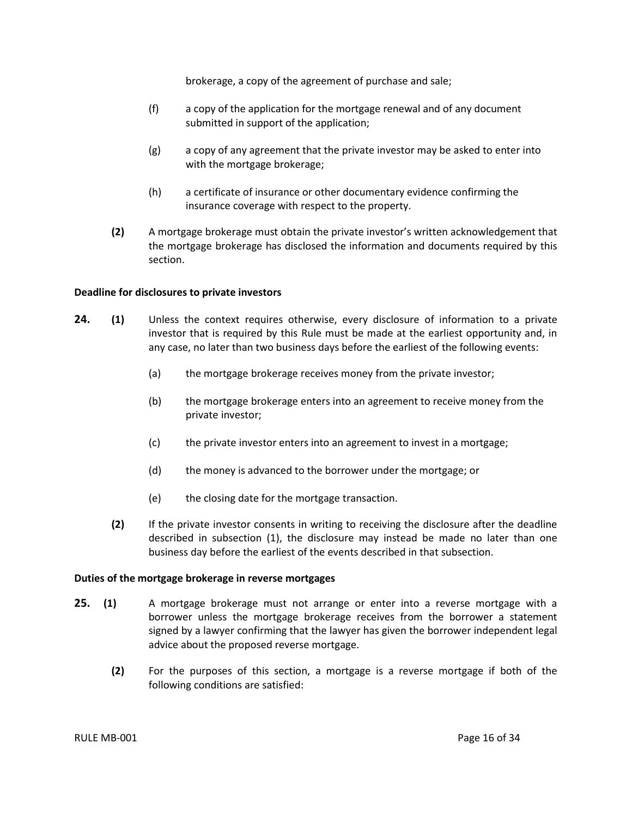brokerage, a copy of the agreement of purchase and sale;

- (f) a copy of the application for the mortgage renewal and of any document submitted in support of the application;
- (g) a copy of any agreement that the private investor may be asked to enter into with the mortgage brokerage;
- (h) a certificate of insurance or other documentary evidence confirming the insurance coverage with respect to the property.
- **(2)** A mortgage brokerage must obtain the private investor's written acknowledgement that the mortgage brokerage has disclosed the information and documents required by this section.

#### <span id="page-18-0"></span>**Deadline for disclosures to private investors**

- **24. (1)** Unless the context requires otherwise, every disclosure of information to a private investor that is required by this Rule must be made at the earliest opportunity and, in any case, no later than two business days before the earliest of the following events:
	- (a) the mortgage brokerage receives money from the private investor;
	- (b) the mortgage brokerage enters into an agreement to receive money from the private investor;
	- (c) the private investor enters into an agreement to invest in a mortgage;
	- (d) the money is advanced to the borrower under the mortgage; or
	- (e) the closing date for the mortgage transaction.
	- **(2)** If the private investor consents in writing to receiving the disclosure after the deadline described in subsection (1), the disclosure may instead be made no later than one business day before the earliest of the events described in that subsection.

#### <span id="page-18-1"></span>**Duties of the mortgage brokerage in reverse mortgages**

- **25. (1)** A mortgage brokerage must not arrange or enter into a reverse mortgage with a borrower unless the mortgage brokerage receives from the borrower a statement signed by a lawyer confirming that the lawyer has given the borrower independent legal advice about the proposed reverse mortgage.
	- **(2)** For the purposes of this section, a mortgage is a reverse mortgage if both of the following conditions are satisfied: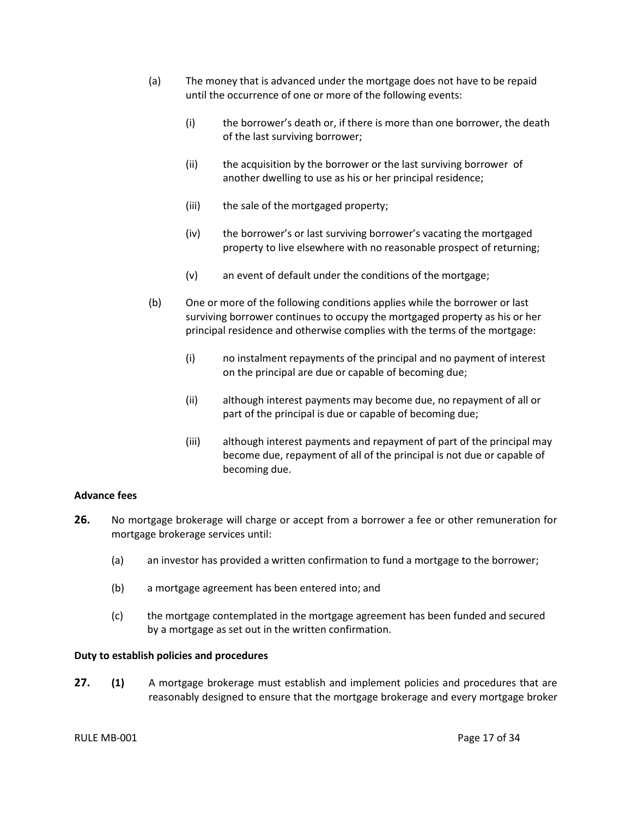- (a) The money that is advanced under the mortgage does not have to be repaid until the occurrence of one or more of the following events:
	- (i) the borrower's death or, if there is more than one borrower, the death of the last surviving borrower;
	- (ii) the acquisition by the borrower or the last surviving borrower of another dwelling to use as his or her principal residence;
	- (iii) the sale of the mortgaged property;
	- (iv) the borrower's or last surviving borrower's vacating the mortgaged property to live elsewhere with no reasonable prospect of returning;
	- (v) an event of default under the conditions of the mortgage;
- (b) One or more of the following conditions applies while the borrower or last surviving borrower continues to occupy the mortgaged property as his or her principal residence and otherwise complies with the terms of the mortgage:
	- (i) no instalment repayments of the principal and no payment of interest on the principal are due or capable of becoming due;
	- (ii) although interest payments may become due, no repayment of all or part of the principal is due or capable of becoming due;
	- (iii) although interest payments and repayment of part of the principal may become due, repayment of all of the principal is not due or capable of becoming due.

#### <span id="page-19-0"></span>**Advance fees**

- **26.** No mortgage brokerage will charge or accept from a borrower a fee or other remuneration for mortgage brokerage services until:
	- (a) an investor has provided a written confirmation to fund a mortgage to the borrower;
	- (b) a mortgage agreement has been entered into; and
	- (c) the mortgage contemplated in the mortgage agreement has been funded and secured by a mortgage as set out in the written confirmation.

#### <span id="page-19-1"></span>**Duty to establish policies and procedures**

**27. (1)** A mortgage brokerage must establish and implement policies and procedures that are reasonably designed to ensure that the mortgage brokerage and every mortgage broker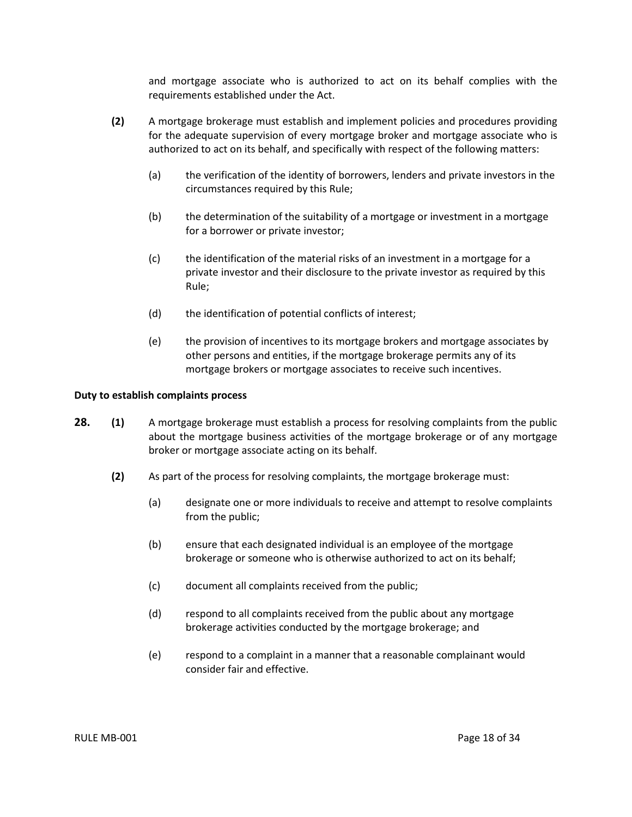and mortgage associate who is authorized to act on its behalf complies with the requirements established under the Act.

- **(2)** A mortgage brokerage must establish and implement policies and procedures providing for the adequate supervision of every mortgage broker and mortgage associate who is authorized to act on its behalf, and specifically with respect of the following matters:
	- (a) the verification of the identity of borrowers, lenders and private investors in the circumstances required by this Rule;
	- (b) the determination of the suitability of a mortgage or investment in a mortgage for a borrower or private investor;
	- (c) the identification of the material risks of an investment in a mortgage for a private investor and their disclosure to the private investor as required by this Rule;
	- (d) the identification of potential conflicts of interest;
	- (e) the provision of incentives to its mortgage brokers and mortgage associates by other persons and entities, if the mortgage brokerage permits any of its mortgage brokers or mortgage associates to receive such incentives.

#### <span id="page-20-0"></span>**Duty to establish complaints process**

- **28. (1)** A mortgage brokerage must establish a process for resolving complaints from the public about the mortgage business activities of the mortgage brokerage or of any mortgage broker or mortgage associate acting on its behalf.
	- **(2)** As part of the process for resolving complaints, the mortgage brokerage must:
		- (a) designate one or more individuals to receive and attempt to resolve complaints from the public;
		- (b) ensure that each designated individual is an employee of the mortgage brokerage or someone who is otherwise authorized to act on its behalf;
		- (c) document all complaints received from the public;
		- (d) respond to all complaints received from the public about any mortgage brokerage activities conducted by the mortgage brokerage; and
		- (e) respond to a complaint in a manner that a reasonable complainant would consider fair and effective.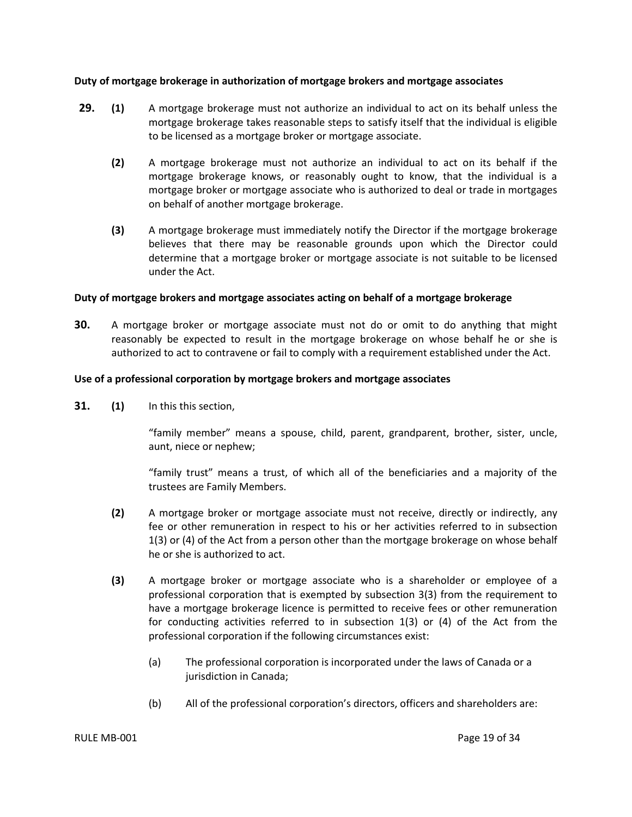#### <span id="page-21-0"></span>**Duty of mortgage brokerage in authorization of mortgage brokers and mortgage associates**

- **29. (1)** A mortgage brokerage must not authorize an individual to act on its behalf unless the mortgage brokerage takes reasonable steps to satisfy itself that the individual is eligible to be licensed as a mortgage broker or mortgage associate.
	- **(2)** A mortgage brokerage must not authorize an individual to act on its behalf if the mortgage brokerage knows, or reasonably ought to know, that the individual is a mortgage broker or mortgage associate who is authorized to deal or trade in mortgages on behalf of another mortgage brokerage.
	- **(3)** A mortgage brokerage must immediately notify the Director if the mortgage brokerage believes that there may be reasonable grounds upon which the Director could determine that a mortgage broker or mortgage associate is not suitable to be licensed under the Act.

#### <span id="page-21-1"></span>**Duty of mortgage brokers and mortgage associates acting on behalf of a mortgage brokerage**

**30.** A mortgage broker or mortgage associate must not do or omit to do anything that might reasonably be expected to result in the mortgage brokerage on whose behalf he or she is authorized to act to contravene or fail to comply with a requirement established under the Act.

#### <span id="page-21-2"></span>**Use of a professional corporation by mortgage brokers and mortgage associates**

**31. (1)** In this this section,

"family member" means a spouse, child, parent, grandparent, brother, sister, uncle, aunt, niece or nephew;

"family trust" means a trust, of which all of the beneficiaries and a majority of the trustees are Family Members.

- **(2)** A mortgage broker or mortgage associate must not receive, directly or indirectly, any fee or other remuneration in respect to his or her activities referred to in subsection 1(3) or (4) of the Act from a person other than the mortgage brokerage on whose behalf he or she is authorized to act.
- **(3)** A mortgage broker or mortgage associate who is a shareholder or employee of a professional corporation that is exempted by subsection 3(3) from the requirement to have a mortgage brokerage licence is permitted to receive fees or other remuneration for conducting activities referred to in subsection 1(3) or (4) of the Act from the professional corporation if the following circumstances exist:
	- (a) The professional corporation is incorporated under the laws of Canada or a jurisdiction in Canada;
	- (b) All of the professional corporation's directors, officers and shareholders are: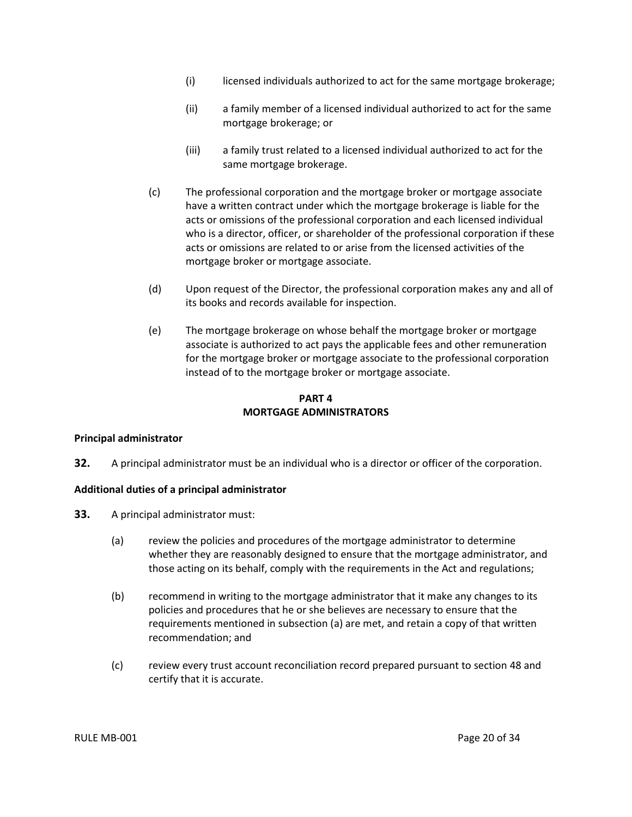- (i) licensed individuals authorized to act for the same mortgage brokerage;
- (ii) a family member of a licensed individual authorized to act for the same mortgage brokerage; or
- (iii) a family trust related to a licensed individual authorized to act for the same mortgage brokerage.
- (c) The professional corporation and the mortgage broker or mortgage associate have a written contract under which the mortgage brokerage is liable for the acts or omissions of the professional corporation and each licensed individual who is a director, officer, or shareholder of the professional corporation if these acts or omissions are related to or arise from the licensed activities of the mortgage broker or mortgage associate.
- (d) Upon request of the Director, the professional corporation makes any and all of its books and records available for inspection.
- (e) The mortgage brokerage on whose behalf the mortgage broker or mortgage associate is authorized to act pays the applicable fees and other remuneration for the mortgage broker or mortgage associate to the professional corporation instead of to the mortgage broker or mortgage associate.

### **PART 4 MORTGAGE ADMINISTRATORS**

## <span id="page-22-1"></span><span id="page-22-0"></span>**Principal administrator**

**32.** A principal administrator must be an individual who is a director or officer of the corporation.

## <span id="page-22-2"></span>**Additional duties of a principal administrator**

- **33.** A principal administrator must:
	- (a) review the policies and procedures of the mortgage administrator to determine whether they are reasonably designed to ensure that the mortgage administrator, and those acting on its behalf, comply with the requirements in the Act and regulations;
	- (b) recommend in writing to the mortgage administrator that it make any changes to its policies and procedures that he or she believes are necessary to ensure that the requirements mentioned in subsection (a) are met, and retain a copy of that written recommendation; and
	- (c) review every trust account reconciliation record prepared pursuant to section 48 and certify that it is accurate.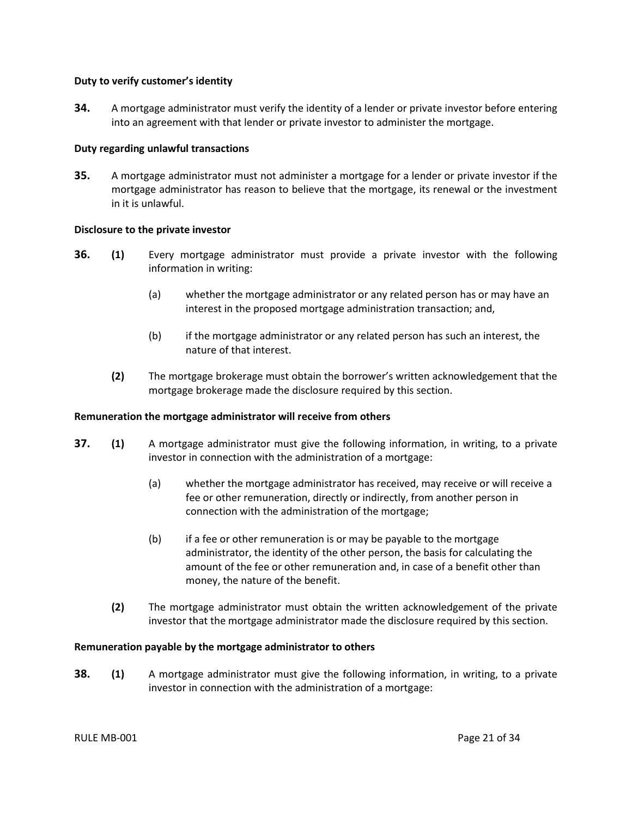#### <span id="page-23-0"></span>**Duty to verify customer's identity**

**34.** A mortgage administrator must verify the identity of a lender or private investor before entering into an agreement with that lender or private investor to administer the mortgage.

#### <span id="page-23-1"></span>**Duty regarding unlawful transactions**

**35.** A mortgage administrator must not administer a mortgage for a lender or private investor if the mortgage administrator has reason to believe that the mortgage, its renewal or the investment in it is unlawful.

#### <span id="page-23-2"></span>**Disclosure to the private investor**

- **36. (1)** Every mortgage administrator must provide a private investor with the following information in writing:
	- (a) whether the mortgage administrator or any related person has or may have an interest in the proposed mortgage administration transaction; and,
	- (b) if the mortgage administrator or any related person has such an interest, the nature of that interest.
	- **(2)** The mortgage brokerage must obtain the borrower's written acknowledgement that the mortgage brokerage made the disclosure required by this section.

#### <span id="page-23-3"></span>**Remuneration the mortgage administrator will receive from others**

- **37. (1)** A mortgage administrator must give the following information, in writing, to a private investor in connection with the administration of a mortgage:
	- (a) whether the mortgage administrator has received, may receive or will receive a fee or other remuneration, directly or indirectly, from another person in connection with the administration of the mortgage;
	- (b) if a fee or other remuneration is or may be payable to the mortgage administrator, the identity of the other person, the basis for calculating the amount of the fee or other remuneration and, in case of a benefit other than money, the nature of the benefit.
	- **(2)** The mortgage administrator must obtain the written acknowledgement of the private investor that the mortgage administrator made the disclosure required by this section.

#### <span id="page-23-4"></span>**Remuneration payable by the mortgage administrator to others**

**38. (1)** A mortgage administrator must give the following information, in writing, to a private investor in connection with the administration of a mortgage: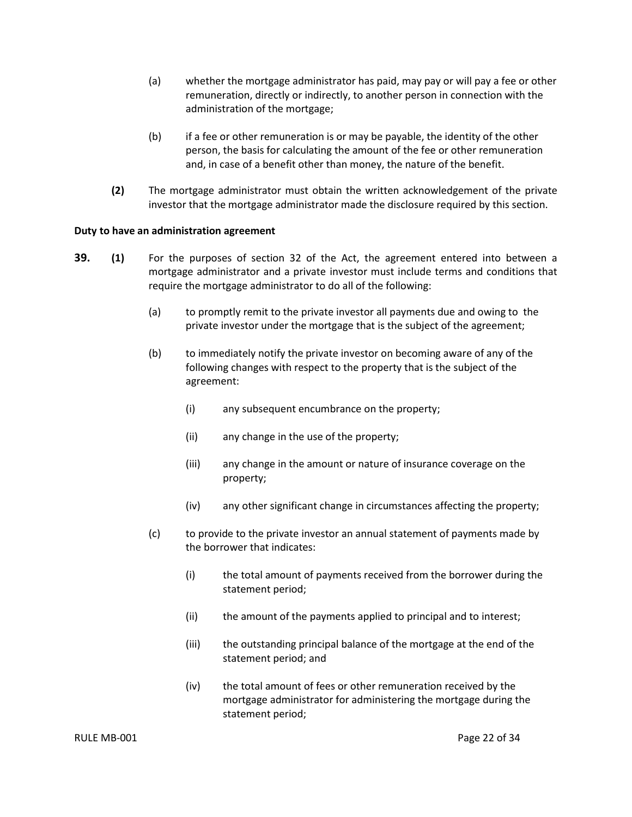- (a) whether the mortgage administrator has paid, may pay or will pay a fee or other remuneration, directly or indirectly, to another person in connection with the administration of the mortgage;
- (b) if a fee or other remuneration is or may be payable, the identity of the other person, the basis for calculating the amount of the fee or other remuneration and, in case of a benefit other than money, the nature of the benefit.
- **(2)** The mortgage administrator must obtain the written acknowledgement of the private investor that the mortgage administrator made the disclosure required by this section.

#### <span id="page-24-0"></span>**Duty to have an administration agreement**

- **39. (1)** For the purposes of section 32 of the Act, the agreement entered into between a mortgage administrator and a private investor must include terms and conditions that require the mortgage administrator to do all of the following:
	- (a) to promptly remit to the private investor all payments due and owing to the private investor under the mortgage that is the subject of the agreement;
	- (b) to immediately notify the private investor on becoming aware of any of the following changes with respect to the property that is the subject of the agreement:
		- (i) any subsequent encumbrance on the property;
		- (ii) any change in the use of the property;
		- (iii) any change in the amount or nature of insurance coverage on the property;
		- (iv) any other significant change in circumstances affecting the property;
	- (c) to provide to the private investor an annual statement of payments made by the borrower that indicates:
		- (i) the total amount of payments received from the borrower during the statement period;
		- (ii) the amount of the payments applied to principal and to interest;
		- (iii) the outstanding principal balance of the mortgage at the end of the statement period; and
		- (iv) the total amount of fees or other remuneration received by the mortgage administrator for administering the mortgage during the statement period;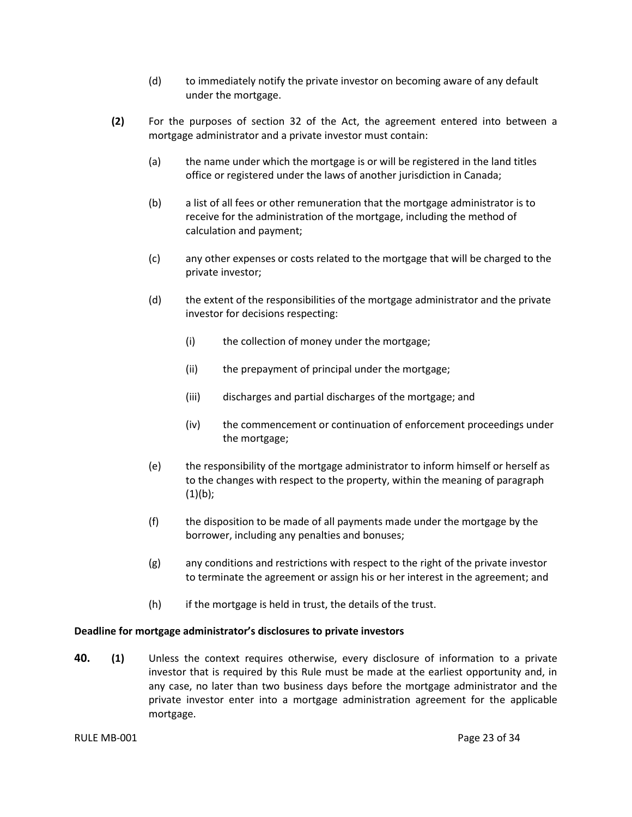- (d) to immediately notify the private investor on becoming aware of any default under the mortgage.
- **(2)** For the purposes of section 32 of the Act, the agreement entered into between a mortgage administrator and a private investor must contain:
	- (a) the name under which the mortgage is or will be registered in the land titles office or registered under the laws of another jurisdiction in Canada;
	- (b) a list of all fees or other remuneration that the mortgage administrator is to receive for the administration of the mortgage, including the method of calculation and payment;
	- (c) any other expenses or costs related to the mortgage that will be charged to the private investor;
	- (d) the extent of the responsibilities of the mortgage administrator and the private investor for decisions respecting:
		- (i) the collection of money under the mortgage;
		- (ii) the prepayment of principal under the mortgage;
		- (iii) discharges and partial discharges of the mortgage; and
		- (iv) the commencement or continuation of enforcement proceedings under the mortgage;
	- (e) the responsibility of the mortgage administrator to inform himself or herself as to the changes with respect to the property, within the meaning of paragraph  $(1)(b)$ ;
	- (f) the disposition to be made of all payments made under the mortgage by the borrower, including any penalties and bonuses;
	- (g) any conditions and restrictions with respect to the right of the private investor to terminate the agreement or assign his or her interest in the agreement; and
	- $(h)$  if the mortgage is held in trust, the details of the trust.

#### <span id="page-25-0"></span>**Deadline for mortgage administrator's disclosures to private investors**

**40. (1)** Unless the context requires otherwise, every disclosure of information to a private investor that is required by this Rule must be made at the earliest opportunity and, in any case, no later than two business days before the mortgage administrator and the private investor enter into a mortgage administration agreement for the applicable mortgage.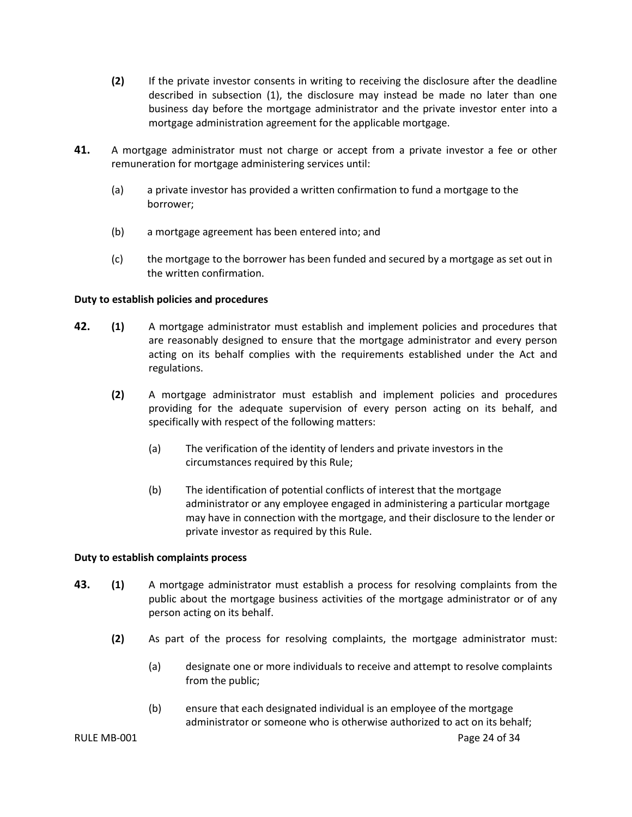- **(2)** If the private investor consents in writing to receiving the disclosure after the deadline described in subsection (1), the disclosure may instead be made no later than one business day before the mortgage administrator and the private investor enter into a mortgage administration agreement for the applicable mortgage.
- **41.** A mortgage administrator must not charge or accept from a private investor a fee or other remuneration for mortgage administering services until:
	- (a) a private investor has provided a written confirmation to fund a mortgage to the borrower;
	- (b) a mortgage agreement has been entered into; and
	- (c) the mortgage to the borrower has been funded and secured by a mortgage as set out in the written confirmation.

#### <span id="page-26-0"></span>**Duty to establish policies and procedures**

- **42. (1)** A mortgage administrator must establish and implement policies and procedures that are reasonably designed to ensure that the mortgage administrator and every person acting on its behalf complies with the requirements established under the Act and regulations.
	- **(2)** A mortgage administrator must establish and implement policies and procedures providing for the adequate supervision of every person acting on its behalf, and specifically with respect of the following matters:
		- (a) The verification of the identity of lenders and private investors in the circumstances required by this Rule;
		- (b) The identification of potential conflicts of interest that the mortgage administrator or any employee engaged in administering a particular mortgage may have in connection with the mortgage, and their disclosure to the lender or private investor as required by this Rule.

#### <span id="page-26-1"></span>**Duty to establish complaints process**

- **43. (1)** A mortgage administrator must establish a process for resolving complaints from the public about the mortgage business activities of the mortgage administrator or of any person acting on its behalf.
	- **(2)** As part of the process for resolving complaints, the mortgage administrator must:
		- (a) designate one or more individuals to receive and attempt to resolve complaints from the public;
		- (b) ensure that each designated individual is an employee of the mortgage administrator or someone who is otherwise authorized to act on its behalf;

RULE MB-001 Page 24 of 34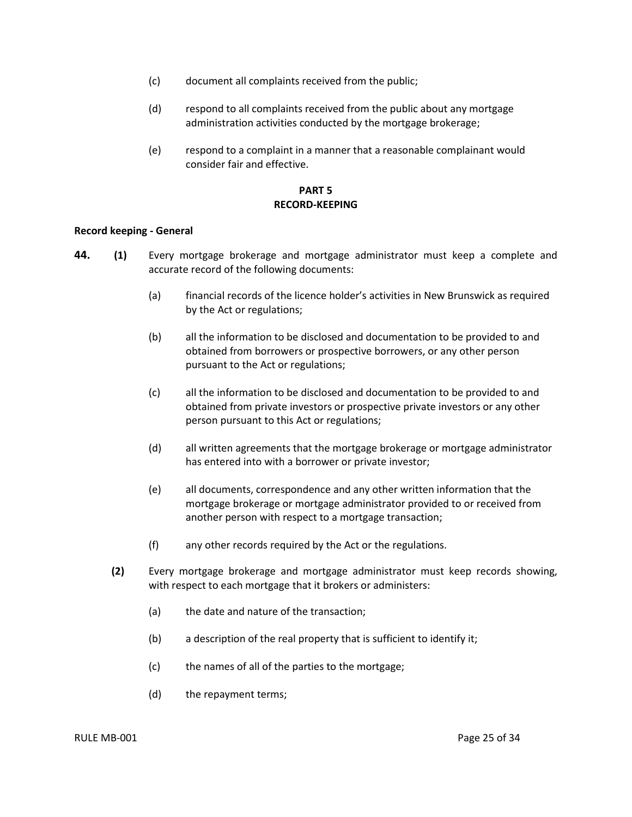- (c) document all complaints received from the public;
- (d) respond to all complaints received from the public about any mortgage administration activities conducted by the mortgage brokerage;
- (e) respond to a complaint in a manner that a reasonable complainant would consider fair and effective.

### **PART 5 RECORD-KEEPING**

#### <span id="page-27-1"></span><span id="page-27-0"></span>**Record keeping - General**

- **44. (1)** Every mortgage brokerage and mortgage administrator must keep a complete and accurate record of the following documents:
	- (a) financial records of the licence holder's activities in New Brunswick as required by the Act or regulations;
	- (b) all the information to be disclosed and documentation to be provided to and obtained from borrowers or prospective borrowers, or any other person pursuant to the Act or regulations;
	- (c) all the information to be disclosed and documentation to be provided to and obtained from private investors or prospective private investors or any other person pursuant to this Act or regulations;
	- (d) all written agreements that the mortgage brokerage or mortgage administrator has entered into with a borrower or private investor;
	- (e) all documents, correspondence and any other written information that the mortgage brokerage or mortgage administrator provided to or received from another person with respect to a mortgage transaction;
	- (f) any other records required by the Act or the regulations.
	- **(2)** Every mortgage brokerage and mortgage administrator must keep records showing, with respect to each mortgage that it brokers or administers:
		- (a) the date and nature of the transaction;
		- (b) a description of the real property that is sufficient to identify it;
		- (c) the names of all of the parties to the mortgage;
		- (d) the repayment terms;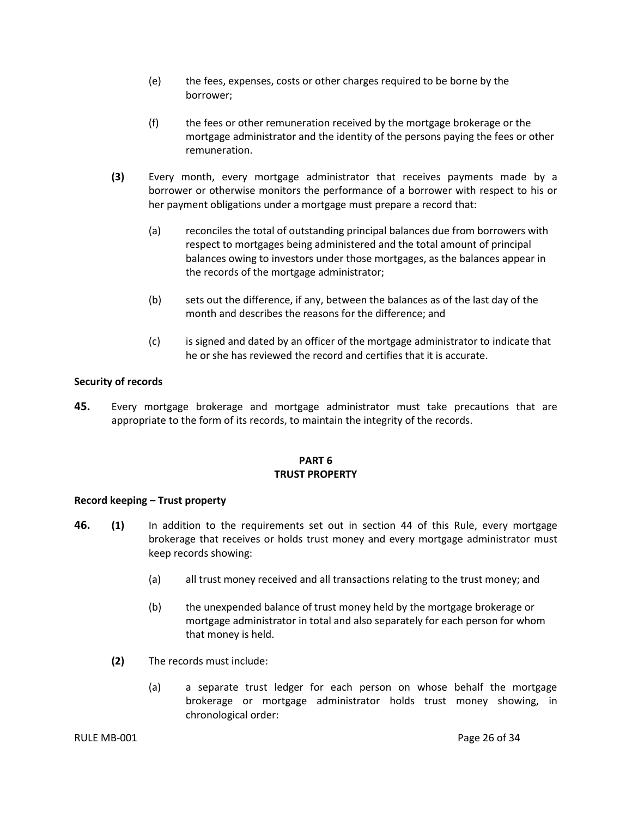- (e) the fees, expenses, costs or other charges required to be borne by the borrower;
- (f) the fees or other remuneration received by the mortgage brokerage or the mortgage administrator and the identity of the persons paying the fees or other remuneration.
- **(3)** Every month, every mortgage administrator that receives payments made by a borrower or otherwise monitors the performance of a borrower with respect to his or her payment obligations under a mortgage must prepare a record that:
	- (a) reconciles the total of outstanding principal balances due from borrowers with respect to mortgages being administered and the total amount of principal balances owing to investors under those mortgages, as the balances appear in the records of the mortgage administrator;
	- (b) sets out the difference, if any, between the balances as of the last day of the month and describes the reasons for the difference; and
	- (c) is signed and dated by an officer of the mortgage administrator to indicate that he or she has reviewed the record and certifies that it is accurate.

#### <span id="page-28-0"></span>**Security of records**

**45.** Every mortgage brokerage and mortgage administrator must take precautions that are appropriate to the form of its records, to maintain the integrity of the records.

## **PART 6 TRUST PROPERTY**

#### <span id="page-28-2"></span><span id="page-28-1"></span>**Record keeping – Trust property**

- **46. (1)** In addition to the requirements set out in section 44 of this Rule, every mortgage brokerage that receives or holds trust money and every mortgage administrator must keep records showing:
	- (a) all trust money received and all transactions relating to the trust money; and
	- (b) the unexpended balance of trust money held by the mortgage brokerage or mortgage administrator in total and also separately for each person for whom that money is held.
	- **(2)** The records must include:
		- (a) a separate trust ledger for each person on whose behalf the mortgage brokerage or mortgage administrator holds trust money showing, in chronological order: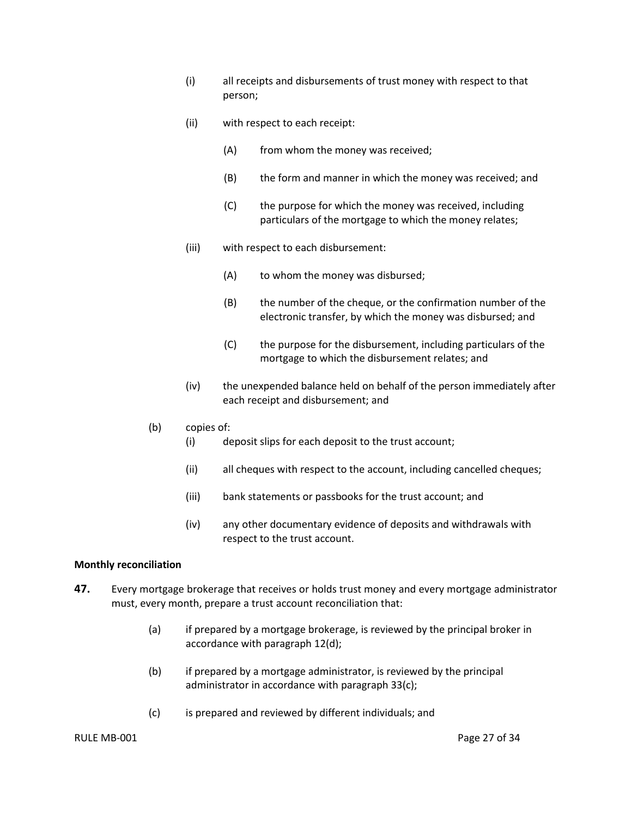- (i) all receipts and disbursements of trust money with respect to that person;
- (ii) with respect to each receipt:
	- (A) from whom the money was received;
	- (B) the form and manner in which the money was received; and
	- (C) the purpose for which the money was received, including particulars of the mortgage to which the money relates;
- (iii) with respect to each disbursement:
	- (A) to whom the money was disbursed;
	- (B) the number of the cheque, or the confirmation number of the electronic transfer, by which the money was disbursed; and
	- (C) the purpose for the disbursement, including particulars of the mortgage to which the disbursement relates; and
- (iv) the unexpended balance held on behalf of the person immediately after each receipt and disbursement; and

#### (b) copies of:

- (i) deposit slips for each deposit to the trust account;
- (ii) all cheques with respect to the account, including cancelled cheques;
- (iii) bank statements or passbooks for the trust account; and
- (iv) any other documentary evidence of deposits and withdrawals with respect to the trust account.

#### <span id="page-29-0"></span>**Monthly reconciliation**

- **47.** Every mortgage brokerage that receives or holds trust money and every mortgage administrator must, every month, prepare a trust account reconciliation that:
	- (a) if prepared by a mortgage brokerage, is reviewed by the principal broker in accordance with paragraph 12(d);
	- (b) if prepared by a mortgage administrator, is reviewed by the principal administrator in accordance with paragraph 33(c);
	- (c) is prepared and reviewed by different individuals; and

#### RULE MB-001 Page 27 of 34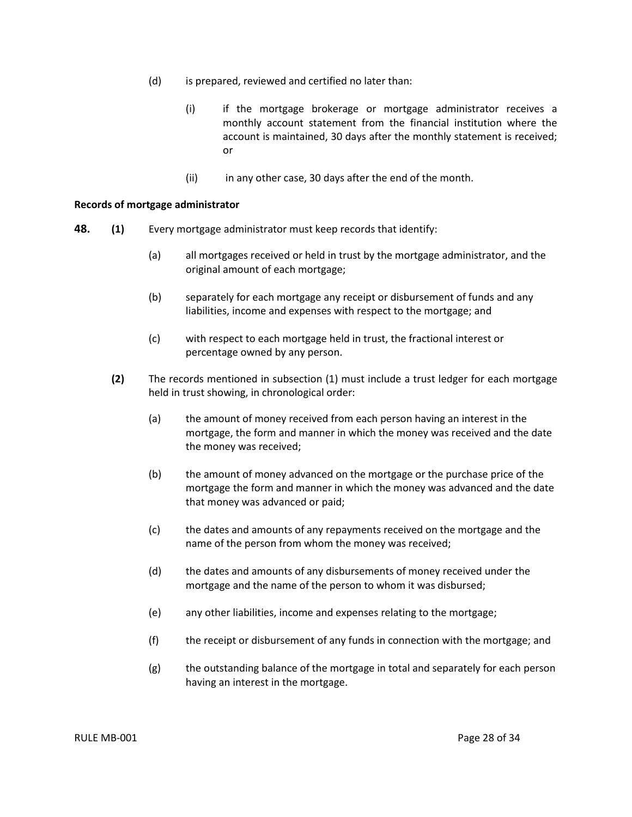- (d) is prepared, reviewed and certified no later than:
	- (i) if the mortgage brokerage or mortgage administrator receives a monthly account statement from the financial institution where the account is maintained, 30 days after the monthly statement is received; or
	- (ii) in any other case, 30 days after the end of the month.

#### <span id="page-30-0"></span>**Records of mortgage administrator**

- **48. (1)** Every mortgage administrator must keep records that identify:
	- (a) all mortgages received or held in trust by the mortgage administrator, and the original amount of each mortgage;
	- (b) separately for each mortgage any receipt or disbursement of funds and any liabilities, income and expenses with respect to the mortgage; and
	- (c) with respect to each mortgage held in trust, the fractional interest or percentage owned by any person.
	- **(2)** The records mentioned in subsection (1) must include a trust ledger for each mortgage held in trust showing, in chronological order:
		- (a) the amount of money received from each person having an interest in the mortgage, the form and manner in which the money was received and the date the money was received;
		- (b) the amount of money advanced on the mortgage or the purchase price of the mortgage the form and manner in which the money was advanced and the date that money was advanced or paid;
		- (c) the dates and amounts of any repayments received on the mortgage and the name of the person from whom the money was received;
		- (d) the dates and amounts of any disbursements of money received under the mortgage and the name of the person to whom it was disbursed;
		- (e) any other liabilities, income and expenses relating to the mortgage;
		- (f) the receipt or disbursement of any funds in connection with the mortgage; and
		- (g) the outstanding balance of the mortgage in total and separately for each person having an interest in the mortgage.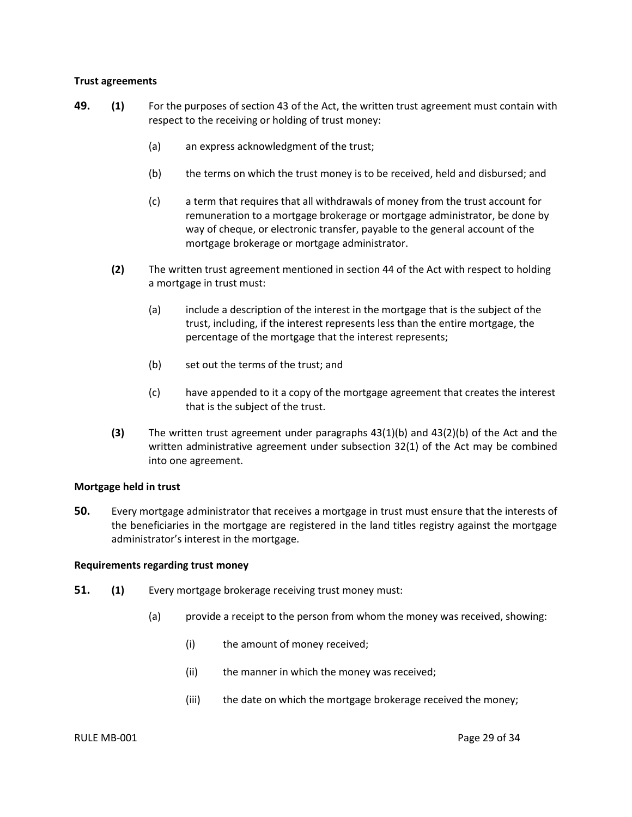#### <span id="page-31-0"></span>**Trust agreements**

- **49. (1)** For the purposes of section 43 of the Act, the written trust agreement must contain with respect to the receiving or holding of trust money:
	- (a) an express acknowledgment of the trust;
	- (b) the terms on which the trust money is to be received, held and disbursed; and
	- (c) a term that requires that all withdrawals of money from the trust account for remuneration to a mortgage brokerage or mortgage administrator, be done by way of cheque, or electronic transfer, payable to the general account of the mortgage brokerage or mortgage administrator.
	- **(2)** The written trust agreement mentioned in section 44 of the Act with respect to holding a mortgage in trust must:
		- (a) include a description of the interest in the mortgage that is the subject of the trust, including, if the interest represents less than the entire mortgage, the percentage of the mortgage that the interest represents;
		- (b) set out the terms of the trust; and
		- (c) have appended to it a copy of the mortgage agreement that creates the interest that is the subject of the trust.
	- **(3)** The written trust agreement under paragraphs 43(1)(b) and 43(2)(b) of the Act and the written administrative agreement under subsection 32(1) of the Act may be combined into one agreement.

#### <span id="page-31-1"></span>**Mortgage held in trust**

**50.** Every mortgage administrator that receives a mortgage in trust must ensure that the interests of the beneficiaries in the mortgage are registered in the land titles registry against the mortgage administrator's interest in the mortgage.

#### <span id="page-31-2"></span>**Requirements regarding trust money**

- **51. (1)** Every mortgage brokerage receiving trust money must:
	- (a) provide a receipt to the person from whom the money was received, showing:
		- (i) the amount of money received;
		- (ii) the manner in which the money was received;
		- (iii) the date on which the mortgage brokerage received the money;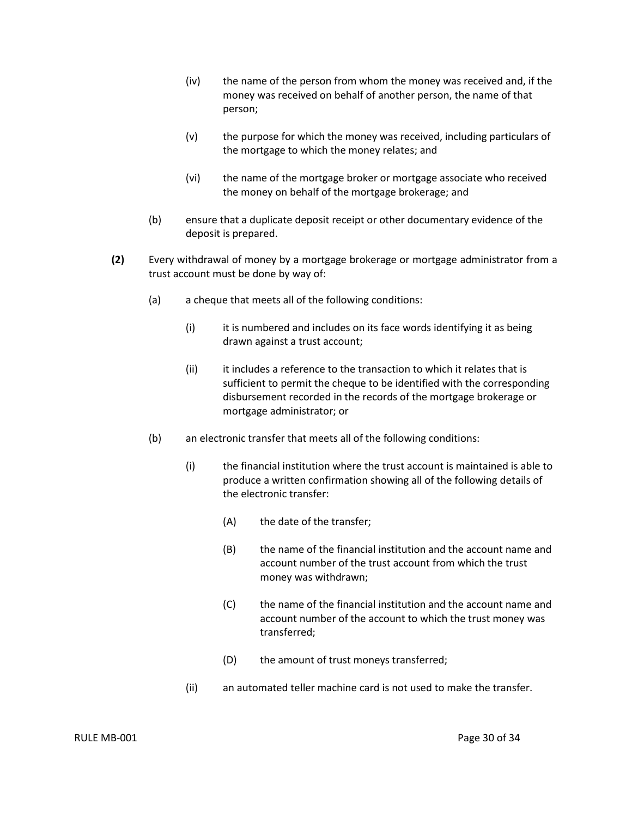- (iv) the name of the person from whom the money was received and, if the money was received on behalf of another person, the name of that person;
- (v) the purpose for which the money was received, including particulars of the mortgage to which the money relates; and
- (vi) the name of the mortgage broker or mortgage associate who received the money on behalf of the mortgage brokerage; and
- (b) ensure that a duplicate deposit receipt or other documentary evidence of the deposit is prepared.
- **(2)** Every withdrawal of money by a mortgage brokerage or mortgage administrator from a trust account must be done by way of:
	- (a) a cheque that meets all of the following conditions:
		- (i) it is numbered and includes on its face words identifying it as being drawn against a trust account;
		- (ii) it includes a reference to the transaction to which it relates that is sufficient to permit the cheque to be identified with the corresponding disbursement recorded in the records of the mortgage brokerage or mortgage administrator; or
	- (b) an electronic transfer that meets all of the following conditions:
		- (i) the financial institution where the trust account is maintained is able to produce a written confirmation showing all of the following details of the electronic transfer:
			- (A) the date of the transfer;
			- (B) the name of the financial institution and the account name and account number of the trust account from which the trust money was withdrawn;
			- (C) the name of the financial institution and the account name and account number of the account to which the trust money was transferred;
			- (D) the amount of trust moneys transferred;
		- (ii) an automated teller machine card is not used to make the transfer.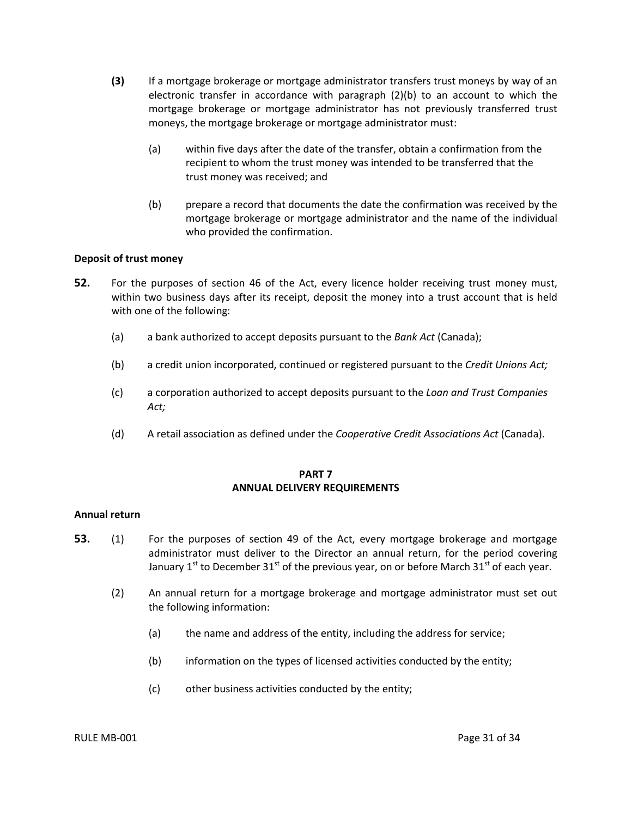- **(3)** If a mortgage brokerage or mortgage administrator transfers trust moneys by way of an electronic transfer in accordance with paragraph (2)(b) to an account to which the mortgage brokerage or mortgage administrator has not previously transferred trust moneys, the mortgage brokerage or mortgage administrator must:
	- (a) within five days after the date of the transfer, obtain a confirmation from the recipient to whom the trust money was intended to be transferred that the trust money was received; and
	- (b) prepare a record that documents the date the confirmation was received by the mortgage brokerage or mortgage administrator and the name of the individual who provided the confirmation.

#### <span id="page-33-0"></span>**Deposit of trust money**

- **52.** For the purposes of section 46 of the Act, every licence holder receiving trust money must, within two business days after its receipt, deposit the money into a trust account that is held with one of the following:
	- (a) a bank authorized to accept deposits pursuant to the *Bank Act* (Canada);
	- (b) a credit union incorporated, continued or registered pursuant to the *Credit Unions Act;*
	- (c) a corporation authorized to accept deposits pursuant to the *Loan and Trust Companies Act;*
	- (d) A retail association as defined under the *Cooperative Credit Associations Act* (Canada).

#### **PART 7 ANNUAL DELIVERY REQUIREMENTS**

#### <span id="page-33-2"></span><span id="page-33-1"></span>**Annual return**

- **53.** (1) For the purposes of section 49 of the Act, every mortgage brokerage and mortgage administrator must deliver to the Director an annual return, for the period covering January 1 $^{\rm st}$  to December 31 $^{\rm st}$  of the previous year, on or before March 31 $^{\rm st}$  of each year.
	- (2) An annual return for a mortgage brokerage and mortgage administrator must set out the following information:
		- (a) the name and address of the entity, including the address for service;
		- (b) information on the types of licensed activities conducted by the entity;
		- (c) other business activities conducted by the entity;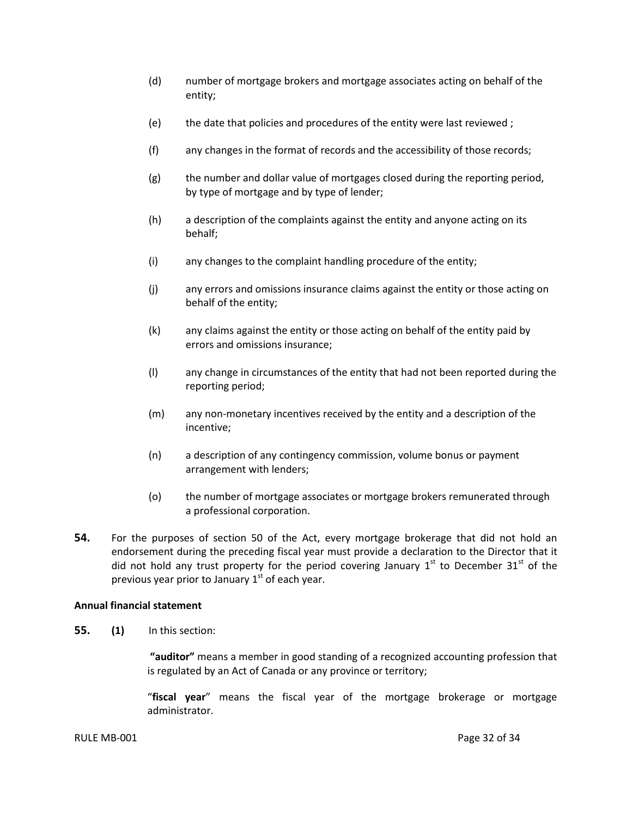- (d) number of mortgage brokers and mortgage associates acting on behalf of the entity;
- (e) the date that policies and procedures of the entity were last reviewed ;
- (f) any changes in the format of records and the accessibility of those records;
- (g) the number and dollar value of mortgages closed during the reporting period, by type of mortgage and by type of lender;
- (h) a description of the complaints against the entity and anyone acting on its behalf;
- (i) any changes to the complaint handling procedure of the entity;
- (j) any errors and omissions insurance claims against the entity or those acting on behalf of the entity;
- (k) any claims against the entity or those acting on behalf of the entity paid by errors and omissions insurance;
- (l) any change in circumstances of the entity that had not been reported during the reporting period;
- (m) any non-monetary incentives received by the entity and a description of the incentive;
- (n) a description of any contingency commission, volume bonus or payment arrangement with lenders;
- (o) the number of mortgage associates or mortgage brokers remunerated through a professional corporation.
- **54.** For the purposes of section 50 of the Act, every mortgage brokerage that did not hold an endorsement during the preceding fiscal year must provide a declaration to the Director that it did not hold any trust property for the period covering January  $1<sup>st</sup>$  to December 31<sup>st</sup> of the previous year prior to January 1<sup>st</sup> of each year.

#### <span id="page-34-0"></span>**Annual financial statement**

**55. (1)** In this section:

**"auditor"** means a member in good standing of a recognized accounting profession that is regulated by an Act of Canada or any province or territory;

"**fiscal year**" means the fiscal year of the mortgage brokerage or mortgage administrator.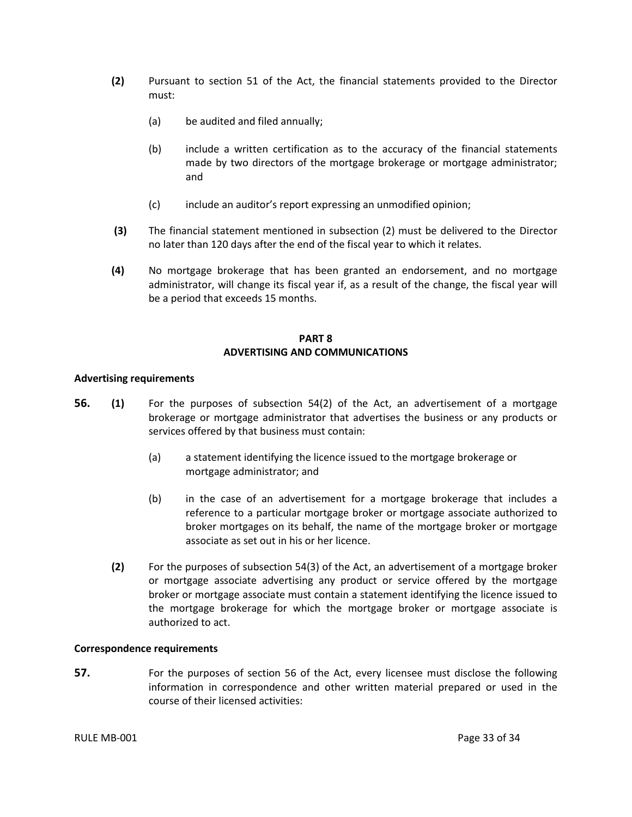- **(2)** Pursuant to section 51 of the Act, the financial statements provided to the Director must:
	- (a) be audited and filed annually;
	- (b) include a written certification as to the accuracy of the financial statements made by two directors of the mortgage brokerage or mortgage administrator; and
	- (c) include an auditor's report expressing an unmodified opinion;
- **(3)** The financial statement mentioned in subsection (2) must be delivered to the Director no later than 120 days after the end of the fiscal year to which it relates.
- **(4)** No mortgage brokerage that has been granted an endorsement, and no mortgage administrator, will change its fiscal year if, as a result of the change, the fiscal year will be a period that exceeds 15 months.

## **PART 8 ADVERTISING AND COMMUNICATIONS**

#### <span id="page-35-1"></span><span id="page-35-0"></span>**Advertising requirements**

- **56. (1)** For the purposes of subsection 54(2) of the Act, an advertisement of a mortgage brokerage or mortgage administrator that advertises the business or any products or services offered by that business must contain:
	- (a) a statement identifying the licence issued to the mortgage brokerage or mortgage administrator; and
	- (b) in the case of an advertisement for a mortgage brokerage that includes a reference to a particular mortgage broker or mortgage associate authorized to broker mortgages on its behalf, the name of the mortgage broker or mortgage associate as set out in his or her licence.
	- **(2)** For the purposes of subsection 54(3) of the Act, an advertisement of a mortgage broker or mortgage associate advertising any product or service offered by the mortgage broker or mortgage associate must contain a statement identifying the licence issued to the mortgage brokerage for which the mortgage broker or mortgage associate is authorized to act.

#### <span id="page-35-2"></span>**Correspondence requirements**

**57.** For the purposes of section 56 of the Act, every licensee must disclose the following information in correspondence and other written material prepared or used in the course of their licensed activities: